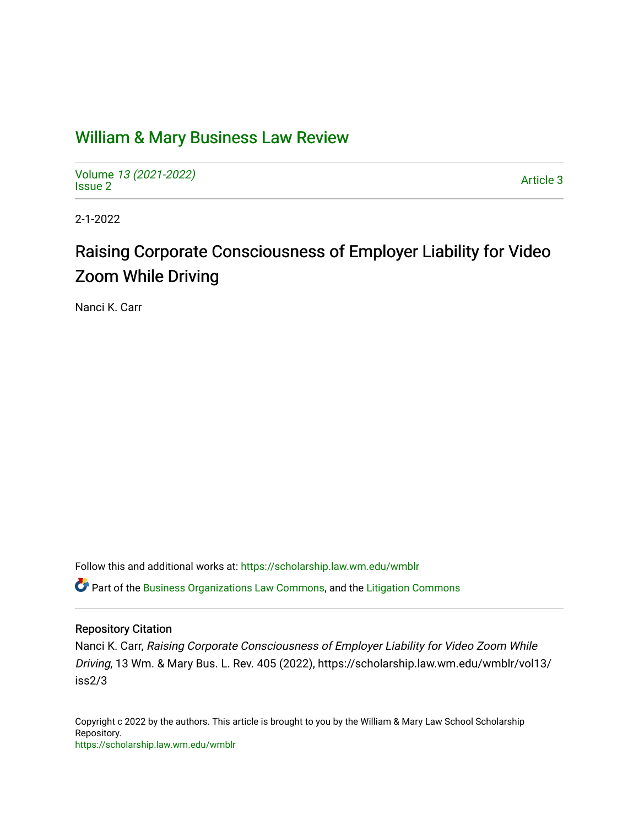## [William & Mary Business Law Review](https://scholarship.law.wm.edu/wmblr)

Volume [13 \(2021-2022\)](https://scholarship.law.wm.edu/wmblr/vol13)  volume 15 (2021-2022)<br>[Issue 2](https://scholarship.law.wm.edu/wmblr/vol13/iss2)

2-1-2022

# Raising Corporate Consciousness of Employer Liability for Video Zoom While Driving

Nanci K. Carr

Follow this and additional works at: [https://scholarship.law.wm.edu/wmblr](https://scholarship.law.wm.edu/wmblr?utm_source=scholarship.law.wm.edu%2Fwmblr%2Fvol13%2Fiss2%2F3&utm_medium=PDF&utm_campaign=PDFCoverPages) 

**C** Part of the [Business Organizations Law Commons](http://network.bepress.com/hgg/discipline/900?utm_source=scholarship.law.wm.edu%2Fwmblr%2Fvol13%2Fiss2%2F3&utm_medium=PDF&utm_campaign=PDFCoverPages), and the [Litigation Commons](http://network.bepress.com/hgg/discipline/910?utm_source=scholarship.law.wm.edu%2Fwmblr%2Fvol13%2Fiss2%2F3&utm_medium=PDF&utm_campaign=PDFCoverPages)

## Repository Citation

Nanci K. Carr, Raising Corporate Consciousness of Employer Liability for Video Zoom While Driving, 13 Wm. & Mary Bus. L. Rev. 405 (2022), https://scholarship.law.wm.edu/wmblr/vol13/ iss2/3

Copyright c 2022 by the authors. This article is brought to you by the William & Mary Law School Scholarship Repository. <https://scholarship.law.wm.edu/wmblr>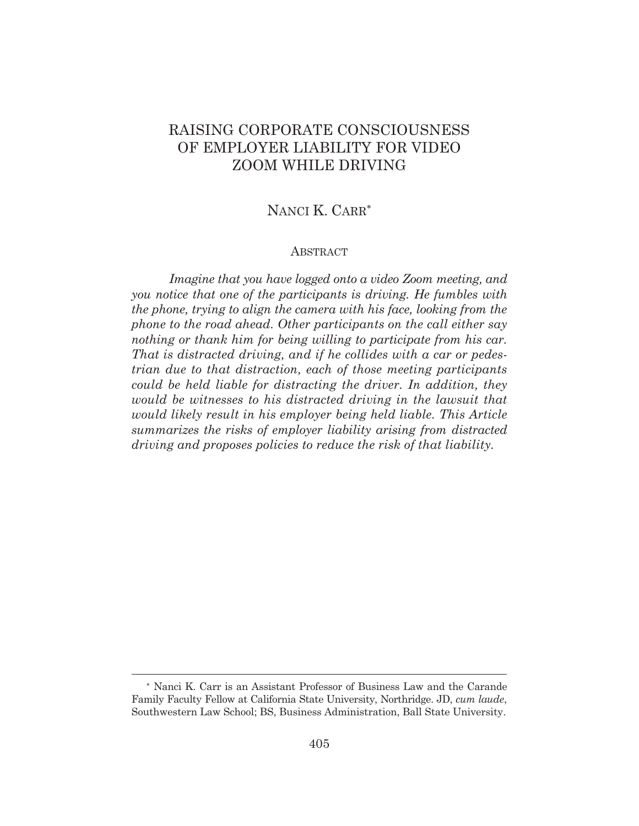## RAISING CORPORATE CONSCIOUSNESS OF EMPLOYER LIABILITY FOR VIDEO ZOOM WHILE DRIVING

## NANCI K. CARR

#### ABSTRACT

 *Imagine that you have logged onto a video Zoom meeting, and you notice that one of the participants is driving. He fumbles with the phone, trying to align the camera with his face, looking from the phone to the road ahead. Other participants on the call either say nothing or thank him for being willing to participate from his car. That is distracted driving, and if he collides with a car or pedestrian due to that distraction, each of those meeting participants could be held liable for distracting the driver. In addition, they would be witnesses to his distracted driving in the lawsuit that would likely result in his employer being held liable. This Article summarizes the risks of employer liability arising from distracted driving and proposes policies to reduce the risk of that liability.* 

 Nanci K. Carr is an Assistant Professor of Business Law and the Carande Family Faculty Fellow at California State University, Northridge. JD, *cum laude*, Southwestern Law School; BS, Business Administration, Ball State University.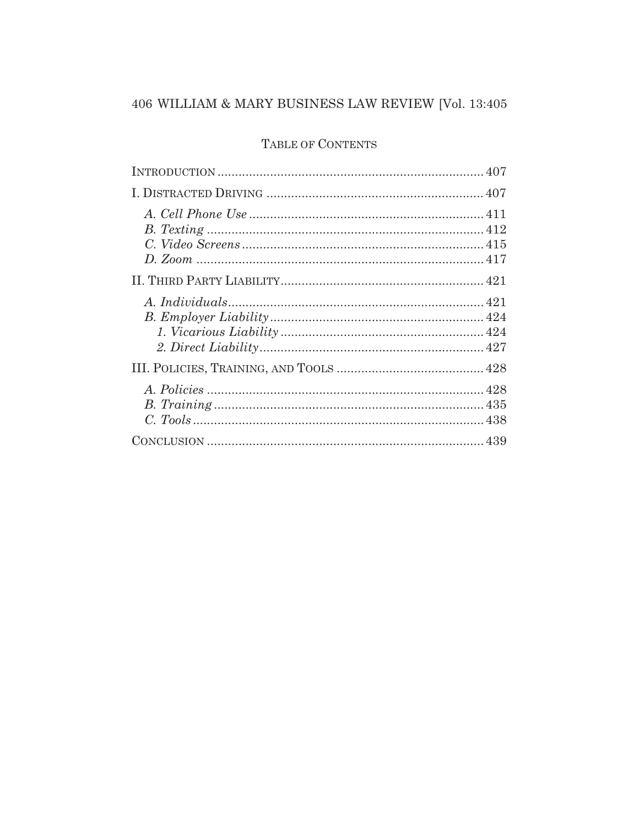## TABLE OF CONTENTS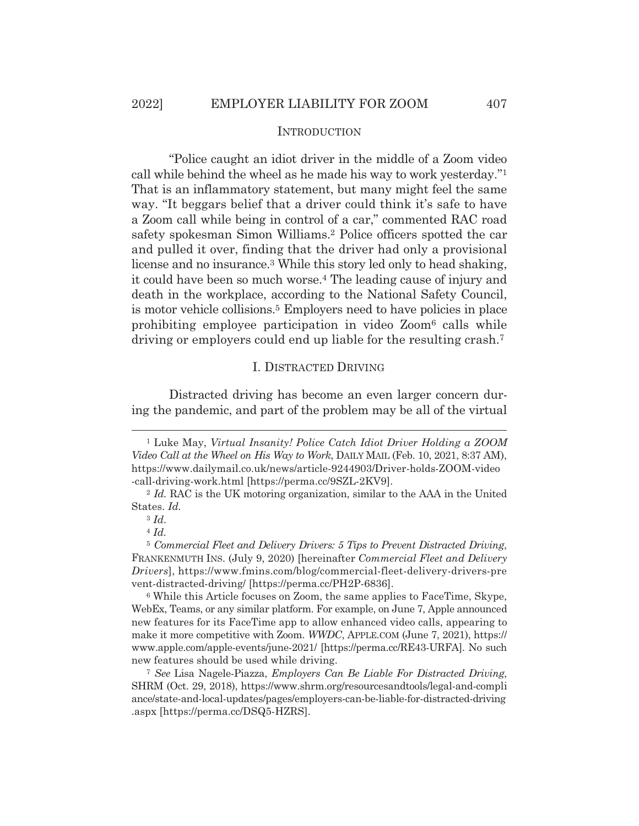## **INTRODUCTION**

"Police caught an idiot driver in the middle of a Zoom video call while behind the wheel as he made his way to work yesterday."1 That is an inflammatory statement, but many might feel the same way. "It beggars belief that a driver could think it's safe to have a Zoom call while being in control of a car," commented RAC road safety spokesman Simon Williams.2 Police officers spotted the car and pulled it over, finding that the driver had only a provisional license and no insurance.3 While this story led only to head shaking, it could have been so much worse.4 The leading cause of injury and death in the workplace, according to the National Safety Council, is motor vehicle collisions.5 Employers need to have policies in place prohibiting employee participation in video Zoom6 calls while driving or employers could end up liable for the resulting crash.7

#### I. DISTRACTED DRIVING

Distracted driving has become an even larger concern during the pandemic, and part of the problem may be all of the virtual

<sup>4</sup> *Id.*

<sup>1</sup> Luke May, *Virtual Insanity! Police Catch Idiot Driver Holding a ZOOM Video Call at the Wheel on His Way to Work*, DAILY MAIL (Feb. 10, 2021, 8:37 AM), https://www.dailymail.co.uk/news/article-9244903/Driver-holds-ZOOM-video

<sup>-</sup>call-driving-work.html [https://perma.cc/9SZL-2KV9]. 2 *Id.* RAC is the UK motoring organization, similar to the AAA in the United States. *Id.* 

<sup>3</sup> *Id.*

<sup>5</sup> *Commercial Fleet and Delivery Drivers: 5 Tips to Prevent Distracted Driving*, FRANKENMUTH INS. (July 9, 2020) [hereinafter *Commercial Fleet and Delivery Drivers*], https://www.fmins.com/blog/commercial-fleet-delivery-drivers-pre vent-distracted-driving/ [https://perma.cc/PH2P-6836].

<sup>6</sup> While this Article focuses on Zoom, the same applies to FaceTime, Skype, WebEx, Teams, or any similar platform. For example, on June 7, Apple announced new features for its FaceTime app to allow enhanced video calls, appearing to make it more competitive with Zoom. *WWDC*, APPLE.COM (June 7, 2021), https:// www.apple.com/apple-events/june-2021/ [https://perma.cc/RE43-URFA]. No such new features should be used while driving.

<sup>7</sup> *See* Lisa Nagele-Piazza, *Employers Can Be Liable For Distracted Driving*, SHRM (Oct. 29, 2018), https://www.shrm.org/resourcesandtools/legal-and-compli ance/state-and-local-updates/pages/employers-can-be-liable-for-distracted-driving .aspx [https://perma.cc/DSQ5-HZRS].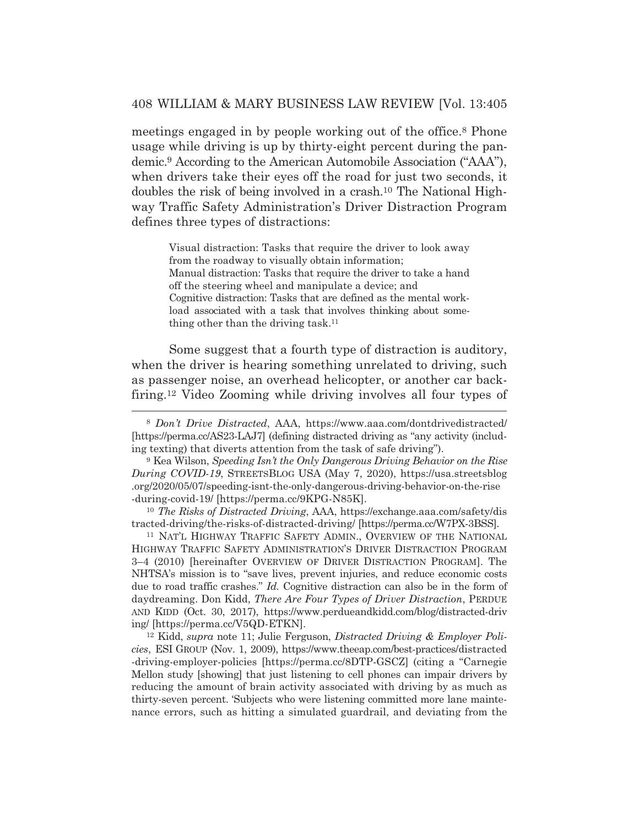meetings engaged in by people working out of the office.8 Phone usage while driving is up by thirty-eight percent during the pandemic.9 According to the American Automobile Association ("AAA"), when drivers take their eyes off the road for just two seconds, it doubles the risk of being involved in a crash.10 The National Highway Traffic Safety Administration's Driver Distraction Program defines three types of distractions:

Visual distraction: Tasks that require the driver to look away from the roadway to visually obtain information; Manual distraction: Tasks that require the driver to take a hand off the steering wheel and manipulate a device; and Cognitive distraction: Tasks that are defined as the mental workload associated with a task that involves thinking about something other than the driving task.11

Some suggest that a fourth type of distraction is auditory, when the driver is hearing something unrelated to driving, such as passenger noise, an overhead helicopter, or another car backfiring.12 Video Zooming while driving involves all four types of

<sup>10</sup> *The Risks of Distracted Driving*, AAA, https://exchange.aaa.com/safety/dis tracted-driving/the-risks-of-distracted-driving/ [https://perma.cc/W7PX-3BSS]. 11 NAT'L HIGHWAY TRAFFIC SAFETY ADMIN., OVERVIEW OF THE NATIONAL

HIGHWAY TRAFFIC SAFETY ADMINISTRATION'S DRIVER DISTRACTION PROGRAM 3–4 (2010) [hereinafter OVERVIEW OF DRIVER DISTRACTION PROGRAM]. The NHTSA's mission is to "save lives, prevent injuries, and reduce economic costs due to road traffic crashes." *Id.* Cognitive distraction can also be in the form of daydreaming. Don Kidd, *There Are Four Types of Driver Distraction*, PERDUE AND KIDD (Oct. 30, 2017), https://www.perdueandkidd.com/blog/distracted-driv ing/ [https://perma.cc/V5QD-ETKN]. 12 Kidd, *supra* note 11; Julie Ferguson, *Distracted Driving & Employer Poli-*

*cies*, ESI GROUP (Nov. 1, 2009), https://www.theeap.com/best-practices/distracted -driving-employer-policies [https://perma.cc/8DTP-GSCZ] (citing a "Carnegie Mellon study [showing] that just listening to cell phones can impair drivers by reducing the amount of brain activity associated with driving by as much as thirty-seven percent. 'Subjects who were listening committed more lane maintenance errors, such as hitting a simulated guardrail, and deviating from the

<sup>8</sup> *Don't Drive Distracted*, AAA, https://www.aaa.com/dontdrivedistracted/ [https://perma.cc/AS23-LAJ7] (defining distracted driving as "any activity (including texting) that diverts attention from the task of safe driving").

<sup>9</sup> Kea Wilson, *Speeding Isn't the Only Dangerous Driving Behavior on the Rise During COVID-19*, STREETSBLOG USA (May 7, 2020), https://usa.streetsblog .org/2020/05/07/speeding-isnt-the-only-dangerous-driving-behavior-on-the-rise -during-covid-19/ [https://perma.cc/9KPG-N85K].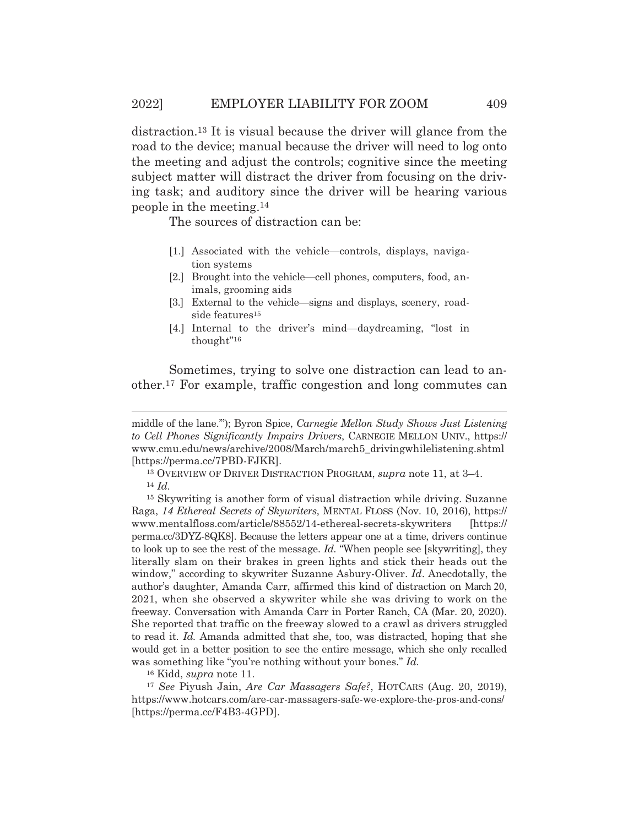distraction.13 It is visual because the driver will glance from the road to the device; manual because the driver will need to log onto the meeting and adjust the controls; cognitive since the meeting subject matter will distract the driver from focusing on the driving task; and auditory since the driver will be hearing various people in the meeting.14

The sources of distraction can be:

- [1.] Associated with the vehicle—controls, displays, navigation systems
- [2.] Brought into the vehicle—cell phones, computers, food, animals, grooming aids
- [3.] External to the vehicle—signs and displays, scenery, roadside features<sup>15</sup>
- [4.] Internal to the driver's mind—daydreaming, "lost in thought"16

Sometimes, trying to solve one distraction can lead to another.17 For example, traffic congestion and long commutes can

13 OVERVIEW OF DRIVER DISTRACTION PROGRAM, *supra* note 11, at 3–4. 14 *Id.*

16 Kidd, *supra* note 11.

<sup>17</sup> *See* Piyush Jain, *Are Car Massagers Safe?*, HOTCARS (Aug. 20, 2019), https://www.hotcars.com/are-car-massagers-safe-we-explore-the-pros-and-cons/ [https://perma.cc/F4B3-4GPD].

middle of the lane.'"); Byron Spice, *Carnegie Mellon Study Shows Just Listening to Cell Phones Significantly Impairs Drivers*, CARNEGIE MELLON UNIV., https:// www.cmu.edu/news/archive/2008/March/march5\_drivingwhilelistening.shtml [https://perma.cc/7PBD-FJKR].

<sup>15</sup> Skywriting is another form of visual distraction while driving. Suzanne Raga, *14 Ethereal Secrets of Skywriters*, MENTAL FLOSS (Nov. 10, 2016), https:// www.mentalfloss.com/article/88552/14-ethereal-secrets-skywriters [https:// perma.cc/3DYZ-8QK8]. Because the letters appear one at a time, drivers continue to look up to see the rest of the message. *Id.* "When people see [skywriting], they literally slam on their brakes in green lights and stick their heads out the window," according to skywriter Suzanne Asbury-Oliver. *Id*. Anecdotally, the author's daughter, Amanda Carr, affirmed this kind of distraction on March 20, 2021, when she observed a skywriter while she was driving to work on the freeway. Conversation with Amanda Carr in Porter Ranch, CA (Mar. 20, 2020). She reported that traffic on the freeway slowed to a crawl as drivers struggled to read it. *Id.* Amanda admitted that she, too, was distracted, hoping that she would get in a better position to see the entire message, which she only recalled was something like "you're nothing without your bones." *Id.*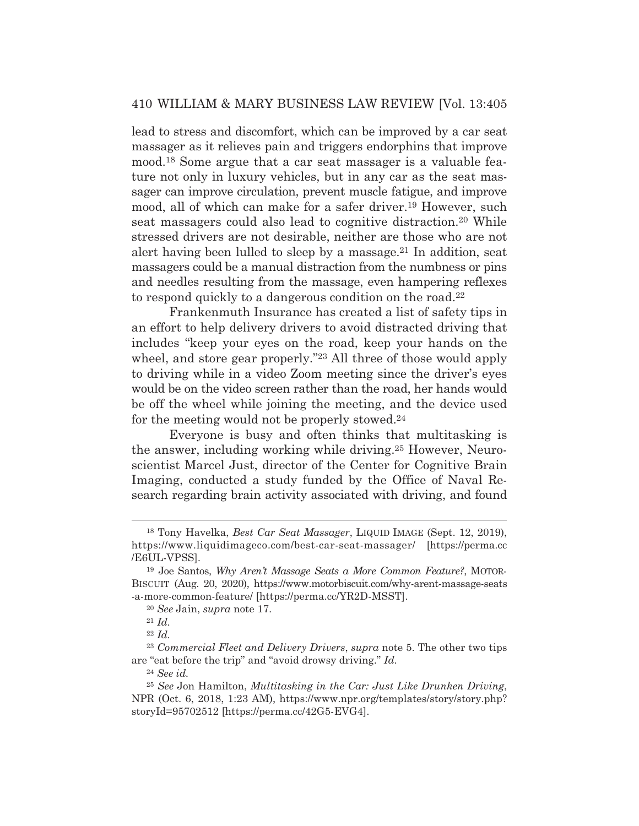lead to stress and discomfort, which can be improved by a car seat massager as it relieves pain and triggers endorphins that improve mood.18 Some argue that a car seat massager is a valuable feature not only in luxury vehicles, but in any car as the seat massager can improve circulation, prevent muscle fatigue, and improve mood, all of which can make for a safer driver.<sup>19</sup> However, such seat massagers could also lead to cognitive distraction.<sup>20</sup> While stressed drivers are not desirable, neither are those who are not alert having been lulled to sleep by a massage.21 In addition, seat massagers could be a manual distraction from the numbness or pins and needles resulting from the massage, even hampering reflexes to respond quickly to a dangerous condition on the road.<sup>22</sup>

 Frankenmuth Insurance has created a list of safety tips in an effort to help delivery drivers to avoid distracted driving that includes "keep your eyes on the road, keep your hands on the wheel, and store gear properly."23 All three of those would apply to driving while in a video Zoom meeting since the driver's eyes would be on the video screen rather than the road, her hands would be off the wheel while joining the meeting, and the device used for the meeting would not be properly stowed.24

 Everyone is busy and often thinks that multitasking is the answer, including working while driving.25 However, Neuroscientist Marcel Just, director of the Center for Cognitive Brain Imaging, conducted a study funded by the Office of Naval Research regarding brain activity associated with driving, and found

<sup>18</sup> Tony Havelka, *Best Car Seat Massager*, LIQUID IMAGE (Sept. 12, 2019), https://www.liquidimageco.com/best-car-seat-massager/ [https://perma.cc /E6UL-VPSS].

<sup>19</sup> Joe Santos, *Why Aren't Massage Seats a More Common Feature?*, MOTOR-BISCUIT (Aug. 20, 2020), https://www.motorbiscuit.com/why-arent-massage-seats -a-more-common-feature/ [https://perma.cc/YR2D-MSST].

<sup>20</sup> *See* Jain, *supra* note 17. 21 *Id.*

<sup>22</sup> *Id.*

<sup>23</sup> *Commercial Fleet and Delivery Drivers*, *supra* note 5. The other two tips are "eat before the trip" and "avoid drowsy driving." *Id.*

<sup>24</sup> *See id.*

<sup>25</sup> *See* Jon Hamilton, *Multitasking in the Car: Just Like Drunken Driving*, NPR (Oct. 6, 2018, 1:23 AM), https://www.npr.org/templates/story/story.php? storyId=95702512 [https://perma.cc/42G5-EVG4].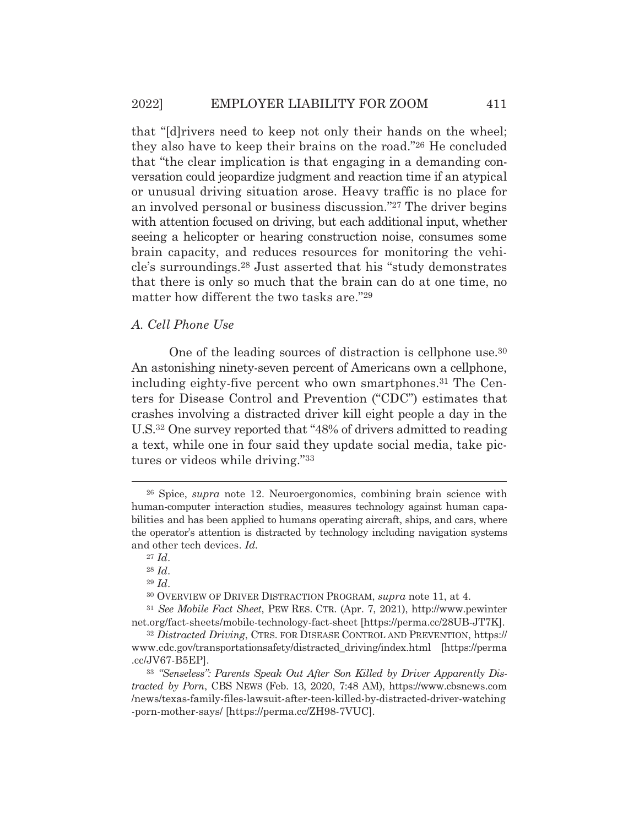that "[d]rivers need to keep not only their hands on the wheel; they also have to keep their brains on the road."26 He concluded that "the clear implication is that engaging in a demanding conversation could jeopardize judgment and reaction time if an atypical or unusual driving situation arose. Heavy traffic is no place for an involved personal or business discussion."27 The driver begins with attention focused on driving, but each additional input, whether seeing a helicopter or hearing construction noise, consumes some brain capacity, and reduces resources for monitoring the vehicle's surroundings.28 Just asserted that his "study demonstrates that there is only so much that the brain can do at one time, no matter how different the two tasks are."29

## *A. Cell Phone Use*

 One of the leading sources of distraction is cellphone use.30 An astonishing ninety-seven percent of Americans own a cellphone, including eighty-five percent who own smartphones.<sup>31</sup> The Centers for Disease Control and Prevention ("CDC") estimates that crashes involving a distracted driver kill eight people a day in the U.S.32 One survey reported that "48% of drivers admitted to reading a text, while one in four said they update social media, take pictures or videos while driving."33

<sup>26</sup> Spice, *supra* note 12. Neuroergonomics, combining brain science with human-computer interaction studies, measures technology against human capabilities and has been applied to humans operating aircraft, ships, and cars, where the operator's attention is distracted by technology including navigation systems and other tech devices. *Id.*

<sup>27</sup> *Id*.

<sup>28</sup> *Id*.

<sup>29</sup> *Id*.

<sup>30</sup> OVERVIEW OF DRIVER DISTRACTION PROGRAM, *supra* note 11, at 4.

<sup>31</sup> *See Mobile Fact Sheet*, PEW RES. CTR. (Apr. 7, 2021), http://www.pewinter net.org/fact-sheets/mobile-technology-fact-sheet [https://perma.cc/28UB-JT7K].

<sup>32</sup> *Distracted Driving*, CTRS. FOR DISEASE CONTROL AND PREVENTION, https:// www.cdc.gov/transportationsafety/distracted\_driving/index.html [https://perma .cc/JV67-B5EP].

<sup>33</sup> *"Senseless": Parents Speak Out After Son Killed by Driver Apparently Distracted by Porn*, CBS NEWS (Feb. 13, 2020, 7:48 AM), https://www.cbsnews.com /news/texas-family-files-lawsuit-after-teen-killed-by-distracted-driver-watching -porn-mother-says/ [https://perma.cc/ZH98-7VUC].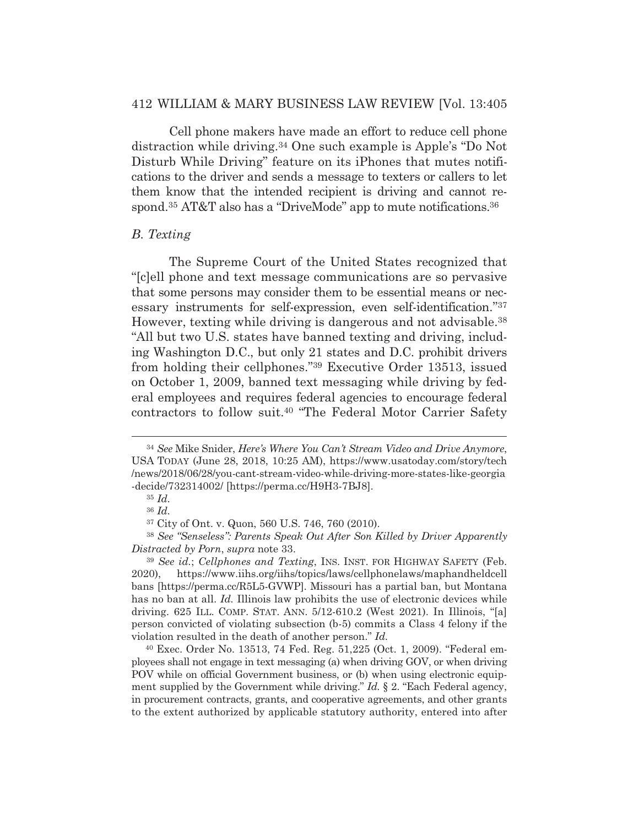Cell phone makers have made an effort to reduce cell phone distraction while driving.34 One such example is Apple's "Do Not Disturb While Driving" feature on its iPhones that mutes notifications to the driver and sends a message to texters or callers to let them know that the intended recipient is driving and cannot respond.<sup>35</sup> AT&T also has a "DriveMode" app to mute notifications.<sup>36</sup>

## *B. Texting*

 The Supreme Court of the United States recognized that "[c]ell phone and text message communications are so pervasive that some persons may consider them to be essential means or necessary instruments for self-expression, even self-identification."37 However, texting while driving is dangerous and not advisable.38 "All but two U.S. states have banned texting and driving, including Washington D.C., but only 21 states and D.C. prohibit drivers from holding their cellphones."39 Executive Order 13513, issued on October 1, 2009, banned text messaging while driving by federal employees and requires federal agencies to encourage federal contractors to follow suit.40 "The Federal Motor Carrier Safety

<sup>38</sup> *See "Senseless": Parents Speak Out After Son Killed by Driver Apparently Distracted by Porn*, *supra* note 33.

<sup>34</sup> *See* Mike Snider, *Here's Where You Can't Stream Video and Drive Anymore*, USA TODAY (June 28, 2018, 10:25 AM), https://www.usatoday.com/story/tech /news/2018/06/28/you-cant-stream-video-while-driving-more-states-like-georgia -decide/732314002/ [https://perma.cc/H9H3-7BJ8].

<sup>35</sup> *Id.*

<sup>36</sup> *Id.*

<sup>37</sup> City of Ont. v. Quon, 560 U.S. 746, 760 (2010).

<sup>39</sup> *See id.*; *Cellphones and Texting*, INS. INST. FOR HIGHWAY SAFETY (Feb. 2020), https://www.iihs.org/iihs/topics/laws/cellphonelaws/maphandheldcell bans [https://perma.cc/R5L5-GVWP]. Missouri has a partial ban, but Montana has no ban at all. *Id.* Illinois law prohibits the use of electronic devices while driving. 625 ILL. COMP. STAT. ANN. 5/12-610.2 (West 2021). In Illinois, "[a] person convicted of violating subsection (b-5) commits a Class 4 felony if the violation resulted in the death of another person." *Id.*

<sup>40</sup> Exec. Order No. 13513, 74 Fed. Reg. 51,225 (Oct. 1, 2009). "Federal employees shall not engage in text messaging (a) when driving GOV, or when driving POV while on official Government business, or (b) when using electronic equipment supplied by the Government while driving." *Id.* § 2. "Each Federal agency, in procurement contracts, grants, and cooperative agreements, and other grants to the extent authorized by applicable statutory authority, entered into after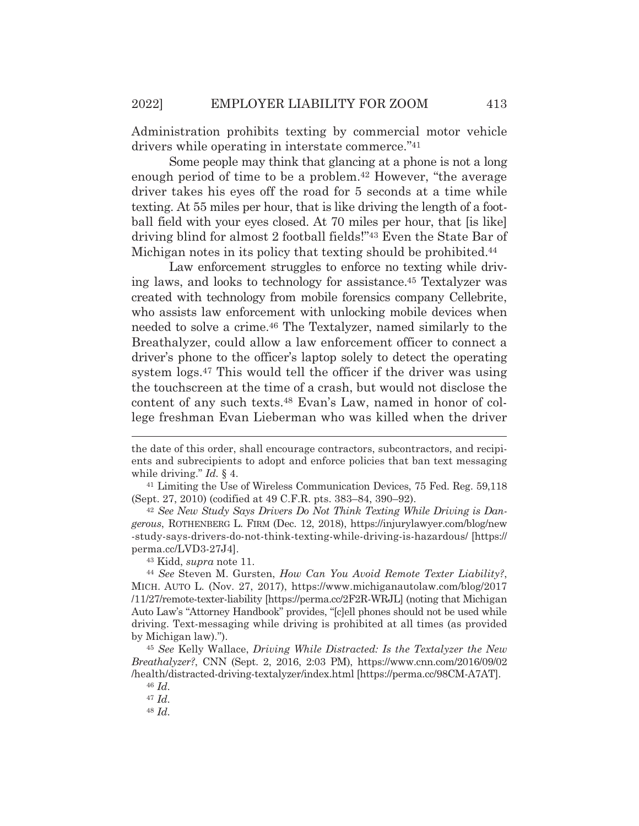Administration prohibits texting by commercial motor vehicle drivers while operating in interstate commerce."41

 Some people may think that glancing at a phone is not a long enough period of time to be a problem.42 However, "the average driver takes his eyes off the road for 5 seconds at a time while texting. At 55 miles per hour, that is like driving the length of a football field with your eyes closed. At 70 miles per hour, that [is like] driving blind for almost 2 football fields!"43 Even the State Bar of Michigan notes in its policy that texting should be prohibited.<sup>44</sup>

Law enforcement struggles to enforce no texting while driving laws, and looks to technology for assistance.45 Textalyzer was created with technology from mobile forensics company Cellebrite, who assists law enforcement with unlocking mobile devices when needed to solve a crime.46 The Textalyzer, named similarly to the Breathalyzer, could allow a law enforcement officer to connect a driver's phone to the officer's laptop solely to detect the operating system logs.47 This would tell the officer if the driver was using the touchscreen at the time of a crash, but would not disclose the content of any such texts.48 Evan's Law, named in honor of college freshman Evan Lieberman who was killed when the driver

*gerous*, ROTHENBERG L. FIRM (Dec. 12, 2018), https://injurylawyer.com/blog/new -study-says-drivers-do-not-think-texting-while-driving-is-hazardous/ [https:// perma.cc/LVD3-27J4].

43 Kidd, *supra* note 11. 44 *See* Steven M. Gursten, *How Can You Avoid Remote Texter Liability?*, MICH. AUTO L. (Nov. 27, 2017), https://www.michiganautolaw.com/blog/2017 /11/27/remote-texter-liability [https://perma.cc/2F2R-WRJL] (noting that Michigan Auto Law's "Attorney Handbook" provides, "[c]ell phones should not be used while driving. Text-messaging while driving is prohibited at all times (as provided by Michigan law).").

<sup>45</sup> *See* Kelly Wallace, *Driving While Distracted: Is the Textalyzer the New Breathalyzer?*, CNN (Sept. 2, 2016, 2:03 PM), https://www.cnn.com/2016/09/02 /health/distracted-driving-textalyzer/index.html [https://perma.cc/98CM-A7AT].

<sup>47</sup> *Id.*

<sup>48</sup> *Id.*

the date of this order, shall encourage contractors, subcontractors, and recipients and subrecipients to adopt and enforce policies that ban text messaging while driving." *Id.* § 4.<br><sup>41</sup> Limiting the Use of Wireless Communication Devices, 75 Fed. Reg. 59,118

<sup>(</sup>Sept. 27, 2010) (codified at 49 C.F.R. pts. 383–84, 390–92). 42 *See New Study Says Drivers Do Not Think Texting While Driving is Dan-*

<sup>46</sup> *Id.*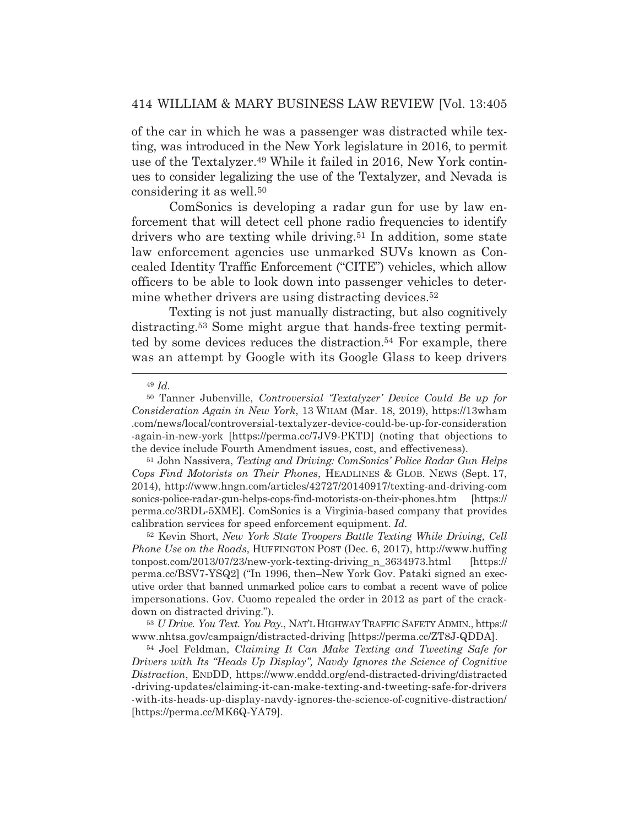of the car in which he was a passenger was distracted while texting, was introduced in the New York legislature in 2016, to permit use of the Textalyzer.49 While it failed in 2016, New York continues to consider legalizing the use of the Textalyzer, and Nevada is considering it as well.50

 ComSonics is developing a radar gun for use by law enforcement that will detect cell phone radio frequencies to identify drivers who are texting while driving.<sup>51</sup> In addition, some state law enforcement agencies use unmarked SUVs known as Concealed Identity Traffic Enforcement ("CITE") vehicles, which allow officers to be able to look down into passenger vehicles to determine whether drivers are using distracting devices.<sup>52</sup>

 Texting is not just manually distracting, but also cognitively distracting.53 Some might argue that hands-free texting permitted by some devices reduces the distraction.54 For example, there was an attempt by Google with its Google Glass to keep drivers

52 Kevin Short, *New York State Troopers Battle Texting While Driving, Cell Phone Use on the Roads*, HUFFINGTON POST (Dec. 6, 2017), http://www.huffing tonpost.com/2013/07/23/new-york-texting-driving\_n\_3634973.html [https:// perma.cc/BSV7-YSQ2] ("In 1996, then–New York Gov. Pataki signed an executive order that banned unmarked police cars to combat a recent wave of police impersonations. Gov. Cuomo repealed the order in 2012 as part of the crackdown on distracted driving.").

<sup>53</sup> *U Drive. You Text. You Pay.*, NAT'L HIGHWAY TRAFFIC SAFETY ADMIN., https:// www.nhtsa.gov/campaign/distracted-driving [https://perma.cc/ZT8J-QDDA].

54 Joel Feldman, *Claiming It Can Make Texting and Tweeting Safe for Drivers with Its "Heads Up Display", Navdy Ignores the Science of Cognitive Distraction*, ENDDD, https://www.enddd.org/end-distracted-driving/distracted -driving-updates/claiming-it-can-make-texting-and-tweeting-safe-for-drivers -with-its-heads-up-display-navdy-ignores-the-science-of-cognitive-distraction/ [https://perma.cc/MK6Q-YA79].

<sup>49</sup> *Id.*

<sup>50</sup> Tanner Jubenville, *Controversial 'Textalyzer' Device Could Be up for Consideration Again in New York*, 13 WHAM (Mar. 18, 2019), https://13wham .com/news/local/controversial-textalyzer-device-could-be-up-for-consideration -again-in-new-york [https://perma.cc/7JV9-PKTD] (noting that objections to the device include Fourth Amendment issues, cost, and effectiveness).

<sup>51</sup> John Nassivera, *Texting and Driving: ComSonics' Police Radar Gun Helps Cops Find Motorists on Their Phones*, HEADLINES & GLOB. NEWS (Sept. 17, 2014), http://www.hngn.com/articles/42727/20140917/texting-and-driving-com sonics-police-radar-gun-helps-cops-find-motorists-on-their-phones.htm [https:// perma.cc/3RDL-5XME]. ComSonics is a Virginia-based company that provides calibration services for speed enforcement equipment. *Id.*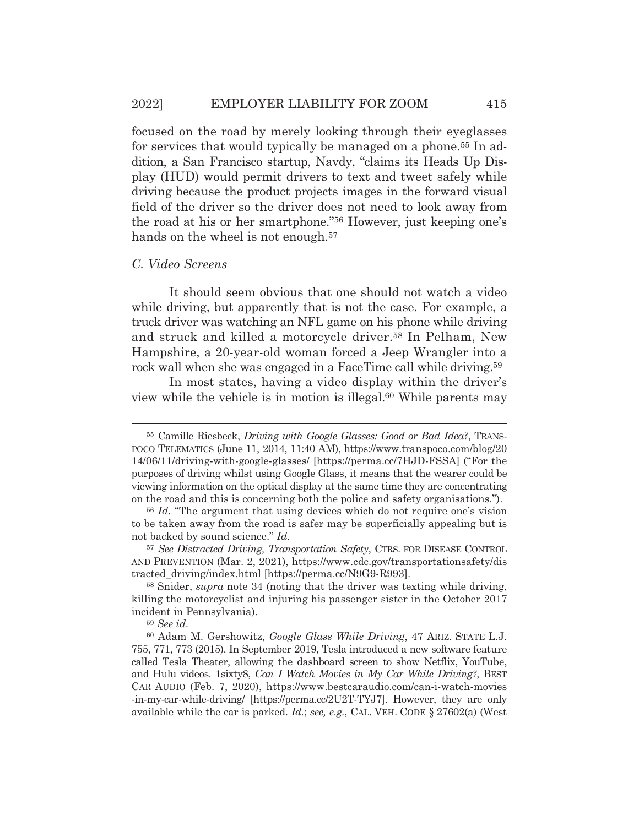focused on the road by merely looking through their eyeglasses for services that would typically be managed on a phone.<sup>55</sup> In addition, a San Francisco startup, Navdy, "claims its Heads Up Display (HUD) would permit drivers to text and tweet safely while driving because the product projects images in the forward visual field of the driver so the driver does not need to look away from the road at his or her smartphone."56 However, just keeping one's hands on the wheel is not enough.<sup>57</sup>

#### *C. Video Screens*

 It should seem obvious that one should not watch a video while driving, but apparently that is not the case. For example, a truck driver was watching an NFL game on his phone while driving and struck and killed a motorcycle driver.58 In Pelham, New Hampshire, a 20-year-old woman forced a Jeep Wrangler into a rock wall when she was engaged in a FaceTime call while driving.<sup>59</sup>

 In most states, having a video display within the driver's view while the vehicle is in motion is illegal.60 While parents may

<sup>55</sup> Camille Riesbeck, *Driving with Google Glasses: Good or Bad Idea?*, TRANS-POCO TELEMATICS (June 11, 2014, 11:40 AM), https://www.transpoco.com/blog/20 14/06/11/driving-with-google-glasses/ [https://perma.cc/7HJD-FSSA] ("For the purposes of driving whilst using Google Glass, it means that the wearer could be viewing information on the optical display at the same time they are concentrating on the road and this is concerning both the police and safety organisations.").

<sup>56</sup> *Id.* "The argument that using devices which do not require one's vision to be taken away from the road is safer may be superficially appealing but is not backed by sound science." *Id.*

<sup>57</sup> *See Distracted Driving, Transportation Safety*, CTRS. FOR DISEASE CONTROL AND PREVENTION (Mar. 2, 2021), https://www.cdc.gov/transportationsafety/dis tracted\_driving/index.html [https://perma.cc/N9G9-R993].

<sup>58</sup> Snider, *supra* note 34 (noting that the driver was texting while driving, killing the motorcyclist and injuring his passenger sister in the October 2017 incident in Pennsylvania).

<sup>59</sup> *See id.* 

<sup>60</sup> Adam M. Gershowitz, *Google Glass While Driving*, 47 ARIZ. STATE L.J. 755, 771, 773 (2015). In September 2019, Tesla introduced a new software feature called Tesla Theater, allowing the dashboard screen to show Netflix, YouTube, and Hulu videos. 1sixty8, *Can I Watch Movies in My Car While Driving?*, BEST CAR AUDIO (Feb. 7, 2020), https://www.bestcaraudio.com/can-i-watch-movies -in-my-car-while-driving/ [https://perma.cc/2U2T-TYJ7]. However, they are only available while the car is parked. *Id.*; *see, e.g.*, CAL. VEH. CODE § 27602(a) (West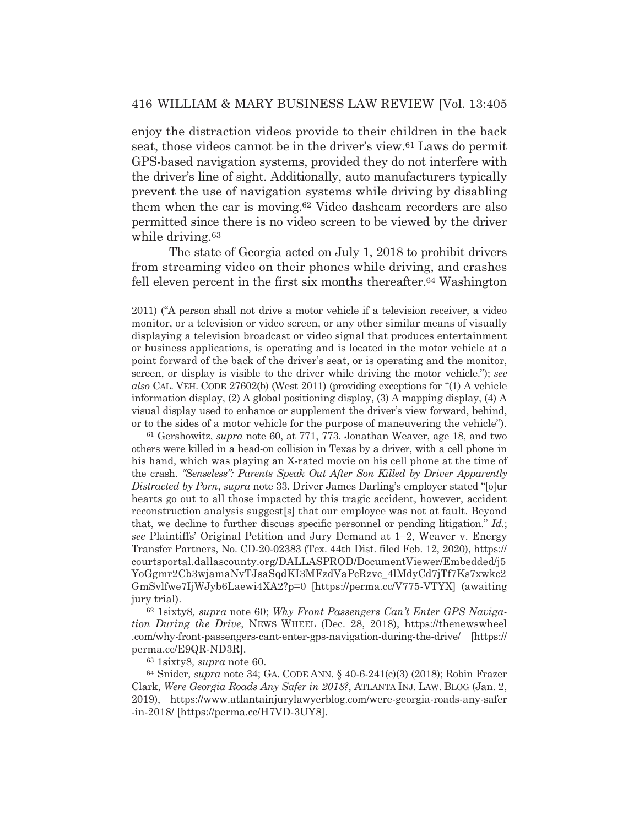enjoy the distraction videos provide to their children in the back seat, those videos cannot be in the driver's view.61 Laws do permit GPS-based navigation systems, provided they do not interfere with the driver's line of sight. Additionally, auto manufacturers typically prevent the use of navigation systems while driving by disabling them when the car is moving.62 Video dashcam recorders are also permitted since there is no video screen to be viewed by the driver while driving.<sup>63</sup>

 The state of Georgia acted on July 1, 2018 to prohibit drivers from streaming video on their phones while driving, and crashes fell eleven percent in the first six months thereafter.64 Washington

61 Gershowitz, *supra* note 60, at 771, 773. Jonathan Weaver, age 18, and two others were killed in a head-on collision in Texas by a driver, with a cell phone in his hand, which was playing an X-rated movie on his cell phone at the time of the crash. *"Senseless": Parents Speak Out After Son Killed by Driver Apparently Distracted by Porn*, *supra* note 33. Driver James Darling's employer stated "[o]ur hearts go out to all those impacted by this tragic accident, however, accident reconstruction analysis suggest[s] that our employee was not at fault. Beyond that, we decline to further discuss specific personnel or pending litigation." *Id.*; *see* Plaintiffs' Original Petition and Jury Demand at 1–2, Weaver v. Energy Transfer Partners, No. CD-20-02383 (Tex. 44th Dist. filed Feb. 12, 2020), https:// courtsportal.dallascounty.org/DALLASPROD/DocumentViewer/Embedded/j5 YoGgmr2Cb3wjamaNvTJsaSqdKI3MFzdVaPcRzvc\_4lMdyCd7jTf7Ks7xwkc2 GmSvlfwe7IjWJyb6Laewi4XA2?p=0 [https://perma.cc/V775-VTYX] (awaiting jury trial).

62 1sixty8*, supra* note 60; *Why Front Passengers Can't Enter GPS Navigation During the Drive*, NEWS WHEEL (Dec. 28, 2018), https://thenewswheel .com/why-front-passengers-cant-enter-gps-navigation-during-the-drive/ [https:// perma.cc/E9QR-ND3R].

63 1sixty8*, supra* note 60.

64 Snider, *supra* note 34; GA. CODE ANN. § 40-6-241(c)(3) (2018); Robin Frazer Clark, *Were Georgia Roads Any Safer in 2018?*, ATLANTA INJ. LAW. BLOG (Jan. 2, 2019), https://www.atlantainjurylawyerblog.com/were-georgia-roads-any-safer -in-2018/ [https://perma.cc/H7VD-3UY8].

<sup>2011) (&</sup>quot;A person shall not drive a motor vehicle if a television receiver, a video monitor, or a television or video screen, or any other similar means of visually displaying a television broadcast or video signal that produces entertainment or business applications, is operating and is located in the motor vehicle at a point forward of the back of the driver's seat, or is operating and the monitor, screen, or display is visible to the driver while driving the motor vehicle."); *see also* CAL. VEH. CODE 27602(b) (West 2011) (providing exceptions for "(1) A vehicle information display, (2) A global positioning display, (3) A mapping display, (4) A visual display used to enhance or supplement the driver's view forward, behind, or to the sides of a motor vehicle for the purpose of maneuvering the vehicle").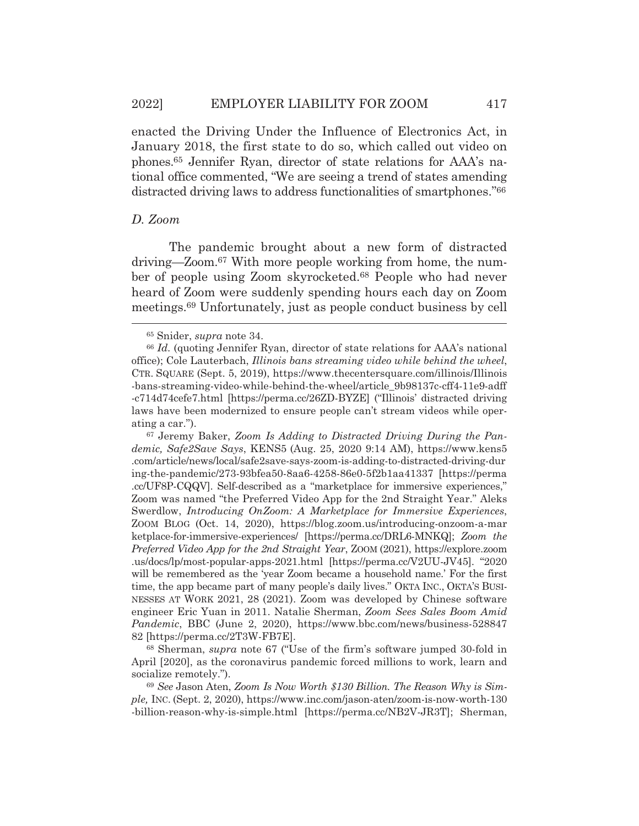enacted the Driving Under the Influence of Electronics Act, in January 2018, the first state to do so, which called out video on phones.65 Jennifer Ryan, director of state relations for AAA's national office commented, "We are seeing a trend of states amending distracted driving laws to address functionalities of smartphones."66

#### *D. Zoom*

The pandemic brought about a new form of distracted driving—Zoom.67 With more people working from home, the number of people using Zoom skyrocketed.68 People who had never heard of Zoom were suddenly spending hours each day on Zoom meetings.69 Unfortunately, just as people conduct business by cell

67 Jeremy Baker, *Zoom Is Adding to Distracted Driving During the Pandemic, Safe2Save Says*, KENS5 (Aug. 25, 2020 9:14 AM), https://www.kens5 .com/article/news/local/safe2save-says-zoom-is-adding-to-distracted-driving-dur ing-the-pandemic/273-93bfea50-8aa6-4258-86e0-5f2b1aa41337 [https://perma .cc/UF8P-CQQV]. Self-described as a "marketplace for immersive experiences," Zoom was named "the Preferred Video App for the 2nd Straight Year." Aleks Swerdlow, *Introducing OnZoom: A Marketplace for Immersive Experiences*, ZOOM BLOG (Oct. 14, 2020), https://blog.zoom.us/introducing-onzoom-a-mar ketplace-for-immersive-experiences/ [https://perma.cc/DRL6-MNKQ]; *Zoom the Preferred Video App for the 2nd Straight Year*, ZOOM (2021), https://explore.zoom .us/docs/lp/most-popular-apps-2021.html [https://perma.cc/V2UU-JV45]. "2020 will be remembered as the 'year Zoom became a household name.' For the first time, the app became part of many people's daily lives." OKTA INC., OKTA'S BUSI-NESSES AT WORK 2021, 28 (2021). Zoom was developed by Chinese software engineer Eric Yuan in 2011. Natalie Sherman, *Zoom Sees Sales Boom Amid Pandemic*, BBC (June 2, 2020), https://www.bbc.com/news/business-528847 82 [https://perma.cc/2T3W-FB7E].

68 Sherman, *supra* note 67 ("Use of the firm's software jumped 30-fold in April [2020], as the coronavirus pandemic forced millions to work, learn and socialize remotely.").

<sup>69</sup> *See* Jason Aten, *Zoom Is Now Worth \$130 Billion. The Reason Why is Simple,* INC. (Sept. 2, 2020), https://www.inc.com/jason-aten/zoom-is-now-worth-130 -billion-reason-why-is-simple.html [https://perma.cc/NB2V-JR3T]; Sherman,

<sup>65</sup> Snider, *supra* note 34.

<sup>66</sup> *Id.* (quoting Jennifer Ryan, director of state relations for AAA's national office); Cole Lauterbach, *Illinois bans streaming video while behind the wheel*, CTR. SQUARE (Sept. 5, 2019), https://www.thecentersquare.com/illinois/Illinois -bans-streaming-video-while-behind-the-wheel/article\_9b98137c-cff4-11e9-adff -c714d74cefe7.html [https://perma.cc/26ZD-BYZE] ("Illinois' distracted driving laws have been modernized to ensure people can't stream videos while operating a car.").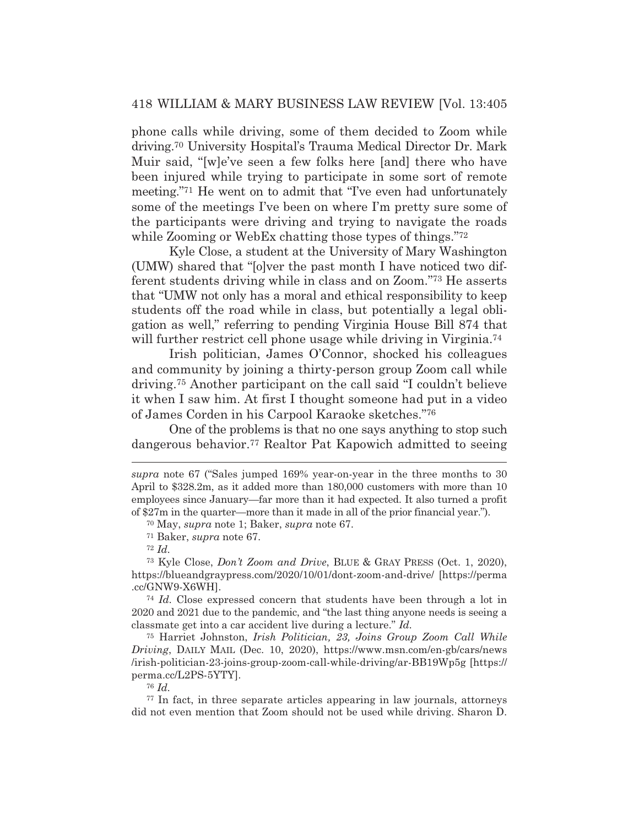phone calls while driving, some of them decided to Zoom while driving.70 University Hospital's Trauma Medical Director Dr. Mark Muir said, "[w]e've seen a few folks here [and] there who have been injured while trying to participate in some sort of remote meeting."71 He went on to admit that "I've even had unfortunately some of the meetings I've been on where I'm pretty sure some of the participants were driving and trying to navigate the roads while Zooming or WebEx chatting those types of things."72

 Kyle Close, a student at the University of Mary Washington (UMW) shared that "[o]ver the past month I have noticed two different students driving while in class and on Zoom."73 He asserts that "UMW not only has a moral and ethical responsibility to keep students off the road while in class, but potentially a legal obligation as well," referring to pending Virginia House Bill 874 that will further restrict cell phone usage while driving in Virginia.<sup>74</sup>

 Irish politician, James O'Connor, shocked his colleagues and community by joining a thirty-person group Zoom call while driving.75 Another participant on the call said "I couldn't believe it when I saw him. At first I thought someone had put in a video of James Corden in his Carpool Karaoke sketches."76

 One of the problems is that no one says anything to stop such dangerous behavior.77 Realtor Pat Kapowich admitted to seeing

75 Harriet Johnston, *Irish Politician, 23, Joins Group Zoom Call While Driving*, DAILY MAIL (Dec. 10, 2020), https://www.msn.com/en-gb/cars/news /irish-politician-23-joins-group-zoom-call-while-driving/ar-BB19Wp5g [https:// perma.cc/L2PS-5YTY].

<sup>76</sup> *Id.*

77 In fact, in three separate articles appearing in law journals, attorneys did not even mention that Zoom should not be used while driving. Sharon D.

*supra* note 67 ("Sales jumped 169% year-on-year in the three months to 30 April to \$328.2m, as it added more than 180,000 customers with more than 10 employees since January—far more than it had expected. It also turned a profit of \$27m in the quarter—more than it made in all of the prior financial year.").

<sup>70</sup> May, *supra* note 1; Baker, *supra* note 67.

<sup>71</sup> Baker, *supra* note 67.

<sup>72</sup> *Id.*

<sup>73</sup> Kyle Close, *Don't Zoom and Drive*, BLUE & GRAY PRESS (Oct. 1, 2020), https://blueandgraypress.com/2020/10/01/dont-zoom-and-drive/ [https://perma .cc/GNW9-X6WH].

<sup>74</sup> *Id.* Close expressed concern that students have been through a lot in 2020 and 2021 due to the pandemic, and "the last thing anyone needs is seeing a classmate get into a car accident live during a lecture." *Id.*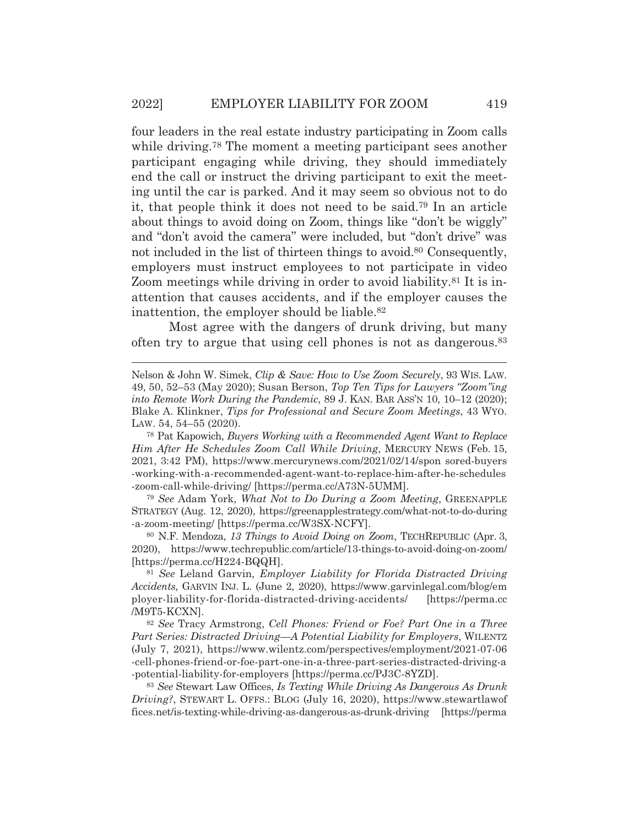four leaders in the real estate industry participating in Zoom calls while driving.<sup>78</sup> The moment a meeting participant sees another participant engaging while driving, they should immediately end the call or instruct the driving participant to exit the meeting until the car is parked. And it may seem so obvious not to do it, that people think it does not need to be said.79 In an article about things to avoid doing on Zoom, things like "don't be wiggly" and "don't avoid the camera" were included, but "don't drive" was not included in the list of thirteen things to avoid.<sup>80</sup> Consequently, employers must instruct employees to not participate in video Zoom meetings while driving in order to avoid liability.<sup>81</sup> It is inattention that causes accidents, and if the employer causes the inattention, the employer should be liable.<sup>82</sup>

 Most agree with the dangers of drunk driving, but many often try to argue that using cell phones is not as dangerous.83

78 Pat Kapowich, *Buyers Working with a Recommended Agent Want to Replace Him After He Schedules Zoom Call While Driving*, MERCURY NEWS (Feb. 15, 2021, 3:42 PM), https://www.mercurynews.com/2021/02/14/spon sored-buyers -working-with-a-recommended-agent-want-to-replace-him-after-he-schedules -zoom-call-while-driving/ [https://perma.cc/A73N-5UMM].

<sup>79</sup> *See* Adam York, *What Not to Do During a Zoom Meeting*, GREENAPPLE STRATEGY (Aug. 12, 2020), https://greenapplestrategy.com/what-not-to-do-during -a-zoom-meeting/ [https://perma.cc/W3SX-NCFY].

80 N.F. Mendoza, *13 Things to Avoid Doing on Zoom*, TECHREPUBLIC (Apr. 3, 2020), https://www.techrepublic.com/article/13-things-to-avoid-doing-on-zoom/ [https://perma.cc/H224-BQQH].

<sup>81</sup> *See* Leland Garvin, *Employer Liability for Florida Distracted Driving Accidents*, GARVIN INJ. L. (June 2, 2020), https://www.garvinlegal.com/blog/em ployer-liability-for-florida-distracted-driving-accidents/ [https://perma.cc /M9T5-KCXN].

<sup>82</sup> *See* Tracy Armstrong, *Cell Phones: Friend or Foe? Part One in a Three Part Series: Distracted Driving*—*A Potential Liability for Employers*, WILENTZ (July 7, 2021), https://www.wilentz.com/perspectives/employment/2021-07-06 -cell-phones-friend-or-foe-part-one-in-a-three-part-series-distracted-driving-a -potential-liability-for-employers [https://perma.cc/PJ3C-8YZD].

<sup>83</sup> *See* Stewart Law Offices, *Is Texting While Driving As Dangerous As Drunk Driving?*, STEWART L. OFFS.: BLOG (July 16, 2020), https://www.stewartlawof fices.net/is-texting-while-driving-as-dangerous-as-drunk-driving [https://perma

Nelson & John W. Simek, *Clip & Save: How to Use Zoom Securely*, 93 WIS. LAW. 49, 50, 52–53 (May 2020); Susan Berson, *Top Ten Tips for Lawyers "Zoom"ing into Remote Work During the Pandemic*, 89 J. KAN. BAR ASS'N 10, 10–12 (2020); Blake A. Klinkner, *Tips for Professional and Secure Zoom Meetings*, 43 WYO. LAW. 54, 54–55 (2020).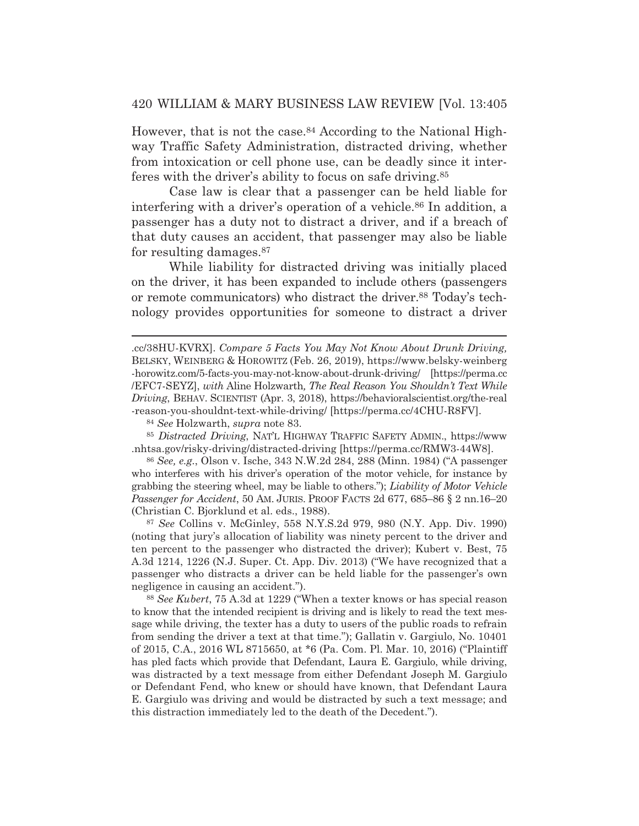However, that is not the case.<sup>84</sup> According to the National Highway Traffic Safety Administration, distracted driving, whether from intoxication or cell phone use, can be deadly since it interferes with the driver's ability to focus on safe driving.85

 Case law is clear that a passenger can be held liable for interfering with a driver's operation of a vehicle.<sup>86</sup> In addition, a passenger has a duty not to distract a driver, and if a breach of that duty causes an accident, that passenger may also be liable for resulting damages.87

 While liability for distracted driving was initially placed on the driver, it has been expanded to include others (passengers or remote communicators) who distract the driver.88 Today's technology provides opportunities for someone to distract a driver

<sup>84</sup> *See* Holzwarth, *supra* note 83.

<sup>85</sup> *Distracted Driving*, NAT'L HIGHWAY TRAFFIC SAFETY ADMIN., https://www .nhtsa.gov/risky-driving/distracted-driving [https://perma.cc/RMW3-44W8].

<sup>86</sup> *See, e.g.*, Olson v. Ische, 343 N.W.2d 284, 288 (Minn. 1984) ("A passenger who interferes with his driver's operation of the motor vehicle, for instance by grabbing the steering wheel, may be liable to others."); *Liability of Motor Vehicle Passenger for Accident*, 50 AM. JURIS. PROOF FACTS 2d 677, 685–86 § 2 nn.16–20 (Christian C. Bjorklund et al. eds., 1988).

<sup>87</sup> *See* Collins v. McGinley, 558 N.Y.S.2d 979, 980 (N.Y. App. Div. 1990) (noting that jury's allocation of liability was ninety percent to the driver and ten percent to the passenger who distracted the driver); Kubert v. Best, 75 A.3d 1214, 1226 (N.J. Super. Ct. App. Div. 2013) ("We have recognized that a passenger who distracts a driver can be held liable for the passenger's own negligence in causing an accident.").

<sup>88</sup> *See Kubert*, 75 A.3d at 1229 ("When a texter knows or has special reason to know that the intended recipient is driving and is likely to read the text message while driving, the texter has a duty to users of the public roads to refrain from sending the driver a text at that time."); Gallatin v. Gargiulo, No. 10401 of 2015, C.A., 2016 WL 8715650, at \*6 (Pa. Com. Pl. Mar. 10, 2016) ("Plaintiff has pled facts which provide that Defendant, Laura E. Gargiulo, while driving, was distracted by a text message from either Defendant Joseph M. Gargiulo or Defendant Fend, who knew or should have known, that Defendant Laura E. Gargiulo was driving and would be distracted by such a text message; and this distraction immediately led to the death of the Decedent.").

<sup>.</sup>cc/38HU-KVRX]. *Compare 5 Facts You May Not Know About Drunk Driving,*  BELSKY, WEINBERG & HOROWITZ (Feb. 26, 2019), https://www.belsky-weinberg -horowitz.com/5-facts-you-may-not-know-about-drunk-driving/ [https://perma.cc /EFC7-SEYZ], *with* Aline Holzwarth*, The Real Reason You Shouldn't Text While Driving*, BEHAV. SCIENTIST (Apr. 3, 2018), https://behavioralscientist.org/the-real -reason-you-shouldnt-text-while-driving/ [https://perma.cc/4CHU-R8FV].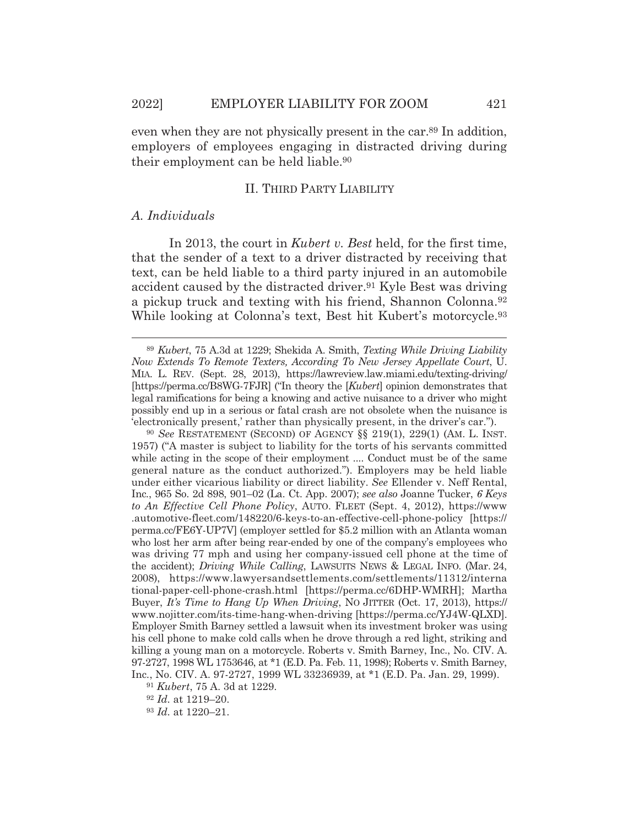even when they are not physically present in the car.<sup>89</sup> In addition, employers of employees engaging in distracted driving during their employment can be held liable.90

## II. THIRD PARTY LIABILITY

## *A. Individuals*

In 2013, the court in *Kubert v. Best* held, for the first time, that the sender of a text to a driver distracted by receiving that text, can be held liable to a third party injured in an automobile accident caused by the distracted driver.91 Kyle Best was driving a pickup truck and texting with his friend, Shannon Colonna.92 While looking at Colonna's text, Best hit Kubert's motorcycle.<sup>93</sup>

<sup>89</sup> *Kubert*, 75 A.3d at 1229; Shekida A. Smith, *Texting While Driving Liability Now Extends To Remote Texters, According To New Jersey Appellate Court*, U. MIA. L. REV. (Sept. 28, 2013), https://lawreview.law.miami.edu/texting-driving/ [https://perma.cc/B8WG-7FJR] ("In theory the [*Kubert*] opinion demonstrates that legal ramifications for being a knowing and active nuisance to a driver who might possibly end up in a serious or fatal crash are not obsolete when the nuisance is 'electronically present,' rather than physically present, in the driver's car.").

<sup>90</sup> *See* RESTATEMENT (SECOND) OF AGENCY §§ 219(1), 229(1) (AM. L. INST. 1957) ("A master is subject to liability for the torts of his servants committed while acting in the scope of their employment .... Conduct must be of the same general nature as the conduct authorized."). Employers may be held liable under either vicarious liability or direct liability. *See* Ellender v. Neff Rental, Inc*.*, 965 So. 2d 898, 901–02 (La. Ct. App. 2007); *see also* Joanne Tucker, *6 Keys to An Effective Cell Phone Policy*, AUTO. FLEET (Sept. 4, 2012), https://www .automotive-fleet.com/148220/6-keys-to-an-effective-cell-phone-policy [https:// perma.cc/FE6Y-UP7V] (employer settled for \$5.2 million with an Atlanta woman who lost her arm after being rear-ended by one of the company's employees who was driving 77 mph and using her company-issued cell phone at the time of the accident); *Driving While Calling*, LAWSUITS NEWS & LEGAL INFO. (Mar. 24, 2008), https://www.lawyersandsettlements.com/settlements/11312/interna tional-paper-cell-phone-crash.html [https://perma.cc/6DHP-WMRH]; Martha Buyer, *It's Time to Hang Up When Driving*, NO JITTER (Oct. 17, 2013), https:// www.nojitter.com/its-time-hang-when-driving [https://perma.cc/YJ4W-QLXD]. Employer Smith Barney settled a lawsuit when its investment broker was using his cell phone to make cold calls when he drove through a red light, striking and killing a young man on a motorcycle. Roberts v. Smith Barney, Inc., No. CIV. A. 97-2727, 1998 WL 1753646, at \*1 (E.D. Pa. Feb. 11, 1998); Roberts v. Smith Barney, Inc*.*, No. CIV. A. 97-2727, 1999 WL 33236939, at \*1 (E.D. Pa. Jan. 29, 1999).

<sup>91</sup> *Kubert*, 75 A. 3d at 1229.

<sup>92</sup> *Id.* at 1219–20.

<sup>93</sup> *Id.* at 1220–21.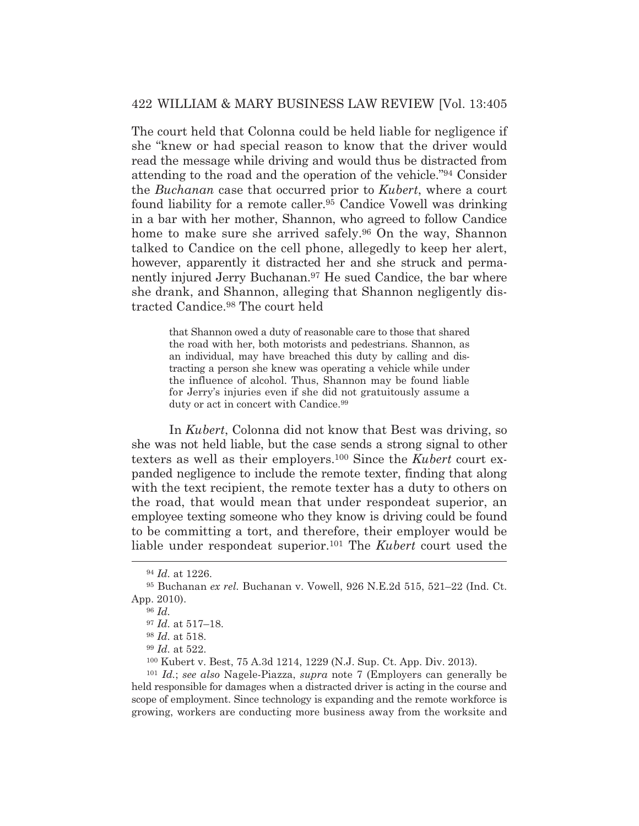The court held that Colonna could be held liable for negligence if she "knew or had special reason to know that the driver would read the message while driving and would thus be distracted from attending to the road and the operation of the vehicle."94 Consider the *Buchanan* case that occurred prior to *Kubert*, where a court found liability for a remote caller.95 Candice Vowell was drinking in a bar with her mother, Shannon, who agreed to follow Candice home to make sure she arrived safely.<sup>96</sup> On the way, Shannon talked to Candice on the cell phone, allegedly to keep her alert, however, apparently it distracted her and she struck and permanently injured Jerry Buchanan.<sup>97</sup> He sued Candice, the bar where she drank, and Shannon, alleging that Shannon negligently distracted Candice.98 The court held

> that Shannon owed a duty of reasonable care to those that shared the road with her, both motorists and pedestrians. Shannon, as an individual, may have breached this duty by calling and distracting a person she knew was operating a vehicle while under the influence of alcohol. Thus, Shannon may be found liable for Jerry's injuries even if she did not gratuitously assume a duty or act in concert with Candice.<sup>99</sup>

 In *Kubert*, Colonna did not know that Best was driving, so she was not held liable, but the case sends a strong signal to other texters as well as their employers.100 Since the *Kubert* court expanded negligence to include the remote texter, finding that along with the text recipient, the remote texter has a duty to others on the road, that would mean that under respondeat superior, an employee texting someone who they know is driving could be found to be committing a tort, and therefore, their employer would be liable under respondeat superior.101 The *Kubert* court used the

<sup>101</sup> *Id.*; *see also* Nagele-Piazza, *supra* note 7 (Employers can generally be held responsible for damages when a distracted driver is acting in the course and scope of employment. Since technology is expanding and the remote workforce is growing, workers are conducting more business away from the worksite and

<sup>94</sup> *Id.* at 1226.

<sup>95</sup> Buchanan *ex rel.* Buchanan v. Vowell, 926 N.E.2d 515, 521–22 (Ind. Ct. App. 2010).

<sup>96</sup> *Id.*

<sup>97</sup> *Id.* at 517–18.

<sup>98</sup> *Id.* at 518.

<sup>99</sup> *Id.* at 522.

<sup>100</sup> Kubert v. Best, 75 A.3d 1214, 1229 (N.J. Sup. Ct. App. Div. 2013).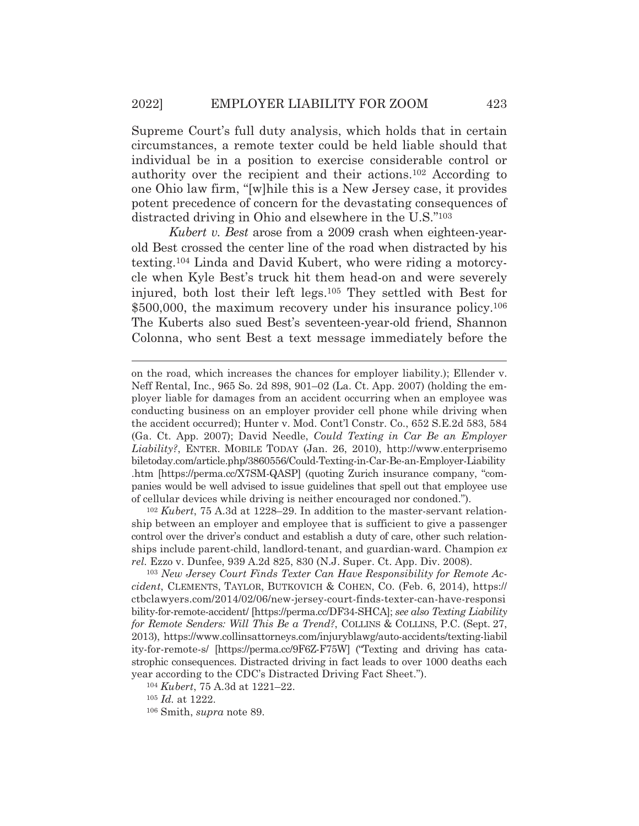Supreme Court's full duty analysis, which holds that in certain circumstances, a remote texter could be held liable should that individual be in a position to exercise considerable control or authority over the recipient and their actions.102 According to one Ohio law firm, "[w]hile this is a New Jersey case, it provides potent precedence of concern for the devastating consequences of distracted driving in Ohio and elsewhere in the U.S."103

*Kubert v. Best* arose from a 2009 crash when eighteen-yearold Best crossed the center line of the road when distracted by his texting.104 Linda and David Kubert, who were riding a motorcycle when Kyle Best's truck hit them head-on and were severely injured, both lost their left legs.105 They settled with Best for \$500,000, the maximum recovery under his insurance policy.<sup>106</sup> The Kuberts also sued Best's seventeen-year-old friend, Shannon Colonna, who sent Best a text message immediately before the

<sup>102</sup> *Kubert*, 75 A.3d at 1228–29. In addition to the master-servant relationship between an employer and employee that is sufficient to give a passenger control over the driver's conduct and establish a duty of care, other such relationships include parent-child, landlord-tenant, and guardian-ward. Champion *ex rel.* Ezzo v. Dunfee, 939 A.2d 825, 830 (N.J. Super. Ct. App. Div. 2008).

<sup>103</sup> *New Jersey Court Finds Texter Can Have Responsibility for Remote Accident*, CLEMENTS, TAYLOR, BUTKOVICH & COHEN, CO. (Feb. 6, 2014), https:// ctbclawyers.com/2014/02/06/new-jersey-court-finds-texter-can-have-responsi bility-for-remote-accident/ [https://perma.cc/DF34-SHCA]; *see also Texting Liability for Remote Senders: Will This Be a Trend?*, COLLINS & COLLINS, P.C. (Sept. 27, 2013), https://www.collinsattorneys.com/injuryblawg/auto-accidents/texting-liabil ity-for-remote-s/ [https://perma.cc/9F6Z-F75W] ("Texting and driving has catastrophic consequences. Distracted driving in fact leads to over 1000 deaths each year according to the CDC's Distracted Driving Fact Sheet.").

<sup>104</sup> *Kubert*, 75 A.3d at 1221–22.

<sup>105</sup> *Id.* at 1222.

106 Smith, *supra* note 89.

on the road, which increases the chances for employer liability.); Ellender v. Neff Rental, Inc*.*, 965 So. 2d 898, 901–02 (La. Ct. App. 2007) (holding the employer liable for damages from an accident occurring when an employee was conducting business on an employer provider cell phone while driving when the accident occurred); Hunter v. Mod. Cont'l Constr. Co*.*, 652 S.E.2d 583, 584 (Ga. Ct. App. 2007); David Needle, *Could Texting in Car Be an Employer Liability?*, ENTER. MOBILE TODAY (Jan. 26, 2010), http://www.enterprisemo biletoday.com/article.php/3860556/Could-Texting-in-Car-Be-an-Employer-Liability .htm [https://perma.cc/X7SM-QASP] (quoting Zurich insurance company, "companies would be well advised to issue guidelines that spell out that employee use of cellular devices while driving is neither encouraged nor condoned.").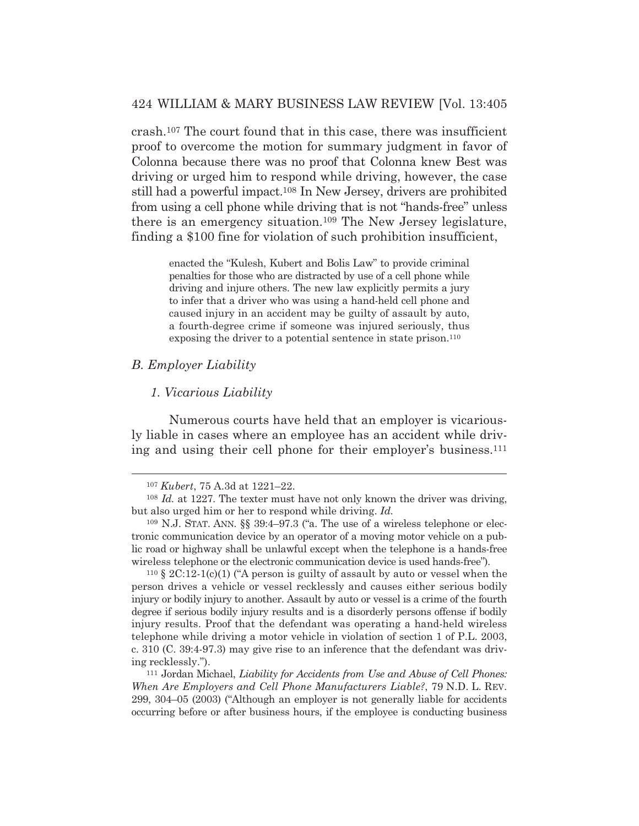crash.107 The court found that in this case, there was insufficient proof to overcome the motion for summary judgment in favor of Colonna because there was no proof that Colonna knew Best was driving or urged him to respond while driving, however, the case still had a powerful impact.108 In New Jersey, drivers are prohibited from using a cell phone while driving that is not "hands-free" unless there is an emergency situation.109 The New Jersey legislature, finding a \$100 fine for violation of such prohibition insufficient,

> enacted the "Kulesh, Kubert and Bolis Law" to provide criminal penalties for those who are distracted by use of a cell phone while driving and injure others. The new law explicitly permits a jury to infer that a driver who was using a hand-held cell phone and caused injury in an accident may be guilty of assault by auto, a fourth-degree crime if someone was injured seriously, thus exposing the driver to a potential sentence in state prison.<sup>110</sup>

#### *B. Employer Liability*

## *1. Vicarious Liability*

Numerous courts have held that an employer is vicariously liable in cases where an employee has an accident while driving and using their cell phone for their employer's business.111

 $110 \text{ }$  \$ 2C:12-1(c)(1) ("A person is guilty of assault by auto or vessel when the person drives a vehicle or vessel recklessly and causes either serious bodily injury or bodily injury to another. Assault by auto or vessel is a crime of the fourth degree if serious bodily injury results and is a disorderly persons offense if bodily injury results. Proof that the defendant was operating a hand-held wireless telephone while driving a motor vehicle in violation of section 1 of P.L. 2003, c. 310 (C. 39:4-97.3) may give rise to an inference that the defendant was driving recklessly."). 111 Jordan Michael, *Liability for Accidents from Use and Abuse of Cell Phones:* 

*When Are Employers and Cell Phone Manufacturers Liable?*, 79 N.D. L. REV. 299, 304–05 (2003) ("Although an employer is not generally liable for accidents occurring before or after business hours, if the employee is conducting business

<sup>107</sup> *Kubert*, 75 A.3d at 1221–22.

<sup>108</sup> *Id.* at 1227. The texter must have not only known the driver was driving, but also urged him or her to respond while driving. *Id.*

<sup>109</sup> N.J. STAT. ANN. §§ 39:4–97.3 ("a. The use of a wireless telephone or electronic communication device by an operator of a moving motor vehicle on a public road or highway shall be unlawful except when the telephone is a hands-free wireless telephone or the electronic communication device is used hands-free").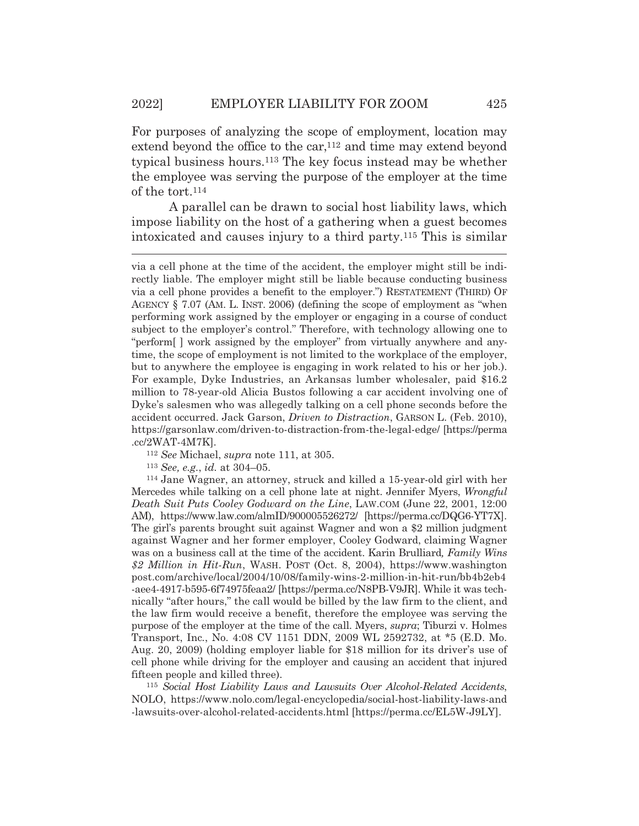For purposes of analyzing the scope of employment, location may extend beyond the office to the  $car<sub>112</sub>$  and time may extend beyond typical business hours.113 The key focus instead may be whether the employee was serving the purpose of the employer at the time of the tort.114

A parallel can be drawn to social host liability laws, which impose liability on the host of a gathering when a guest becomes intoxicated and causes injury to a third party.115 This is similar

<sup>113</sup> *See, e.g.*, *id.* at 304–05. 114 Jane Wagner, an attorney, struck and killed a 15-year-old girl with her Mercedes while talking on a cell phone late at night. Jennifer Myers, *Wrongful Death Suit Puts Cooley Godward on the Line*, LAW.COM (June 22, 2001, 12:00 AM), https://www.law.com/almID/900005526272/ [https://perma.cc/DQG6-YT7X]. The girl's parents brought suit against Wagner and won a \$2 million judgment against Wagner and her former employer, Cooley Godward, claiming Wagner was on a business call at the time of the accident. Karin Brulliard*, Family Wins \$2 Million in Hit-Run*, WASH. POST (Oct. 8, 2004), https://www.washington post.com/archive/local/2004/10/08/family-wins-2-million-in-hit-run/bb4b2eb4 -aee4-4917-b595-6f74975feaa2/ [https://perma.cc/N8PB-V9JR]. While it was technically "after hours," the call would be billed by the law firm to the client, and the law firm would receive a benefit, therefore the employee was serving the purpose of the employer at the time of the call. Myers, *supra*; Tiburzi v. Holmes Transport, Inc*.*, No. 4:08 CV 1151 DDN, 2009 WL 2592732, at \*5 (E.D. Mo. Aug. 20, 2009) (holding employer liable for \$18 million for its driver's use of cell phone while driving for the employer and causing an accident that injured fifteen people and killed three).

<sup>115</sup> *Social Host Liability Laws and Lawsuits Over Alcohol-Related Accidents*, NOLO, https://www.nolo.com/legal-encyclopedia/social-host-liability-laws-and -lawsuits-over-alcohol-related-accidents.html [https://perma.cc/EL5W-J9LY].

via a cell phone at the time of the accident, the employer might still be indirectly liable. The employer might still be liable because conducting business via a cell phone provides a benefit to the employer.") RESTATEMENT (THIRD) OF AGENCY § 7.07 (AM. L. INST. 2006) (defining the scope of employment as "when performing work assigned by the employer or engaging in a course of conduct subject to the employer's control." Therefore, with technology allowing one to "perform[ ] work assigned by the employer" from virtually anywhere and anytime, the scope of employment is not limited to the workplace of the employer, but to anywhere the employee is engaging in work related to his or her job.). For example, Dyke Industries, an Arkansas lumber wholesaler, paid \$16.2 million to 78-year-old Alicia Bustos following a car accident involving one of Dyke's salesmen who was allegedly talking on a cell phone seconds before the accident occurred. Jack Garson, *Driven to Distraction*, GARSON L. (Feb. 2010), https://garsonlaw.com/driven-to-distraction-from-the-legal-edge/ [https://perma .cc/2WAT-4M7K]. 112 *See* Michael, *supra* note 111, at 305.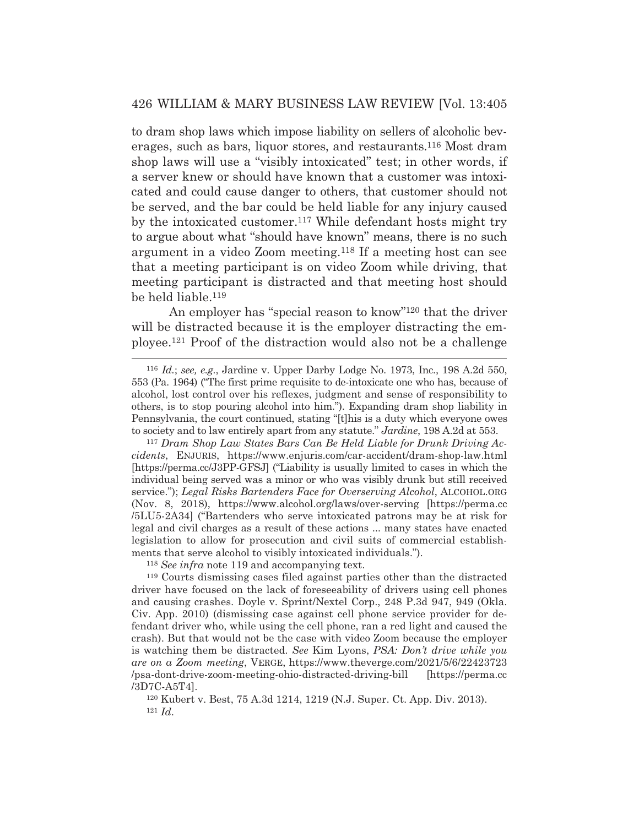to dram shop laws which impose liability on sellers of alcoholic beverages, such as bars, liquor stores, and restaurants.116 Most dram shop laws will use a "visibly intoxicated" test; in other words, if a server knew or should have known that a customer was intoxicated and could cause danger to others, that customer should not be served, and the bar could be held liable for any injury caused by the intoxicated customer.117 While defendant hosts might try to argue about what "should have known" means, there is no such argument in a video Zoom meeting.118 If a meeting host can see that a meeting participant is on video Zoom while driving, that meeting participant is distracted and that meeting host should be held liable.119

 An employer has "special reason to know"120 that the driver will be distracted because it is the employer distracting the employee.121 Proof of the distraction would also not be a challenge

<sup>118</sup> *See infra* note 119 and accompanying text.

120 Kubert v. Best, 75 A.3d 1214, 1219 (N.J. Super. Ct. App. Div. 2013). 121 *Id*.

<sup>116</sup> *Id.*; *see, e.g.*, Jardine v. Upper Darby Lodge No. 1973, Inc*.*, 198 A.2d 550, 553 (Pa. 1964) ("The first prime requisite to de-intoxicate one who has, because of alcohol, lost control over his reflexes, judgment and sense of responsibility to others, is to stop pouring alcohol into him."). Expanding dram shop liability in Pennsylvania, the court continued, stating "[t]his is a duty which everyone owes to society and to law entirely apart from any statute." *Jardine*, 198 A.2d at 553.

<sup>117</sup> *Dram Shop Law States Bars Can Be Held Liable for Drunk Driving Accidents*, ENJURIS, https://www.enjuris.com/car-accident/dram-shop-law.html [https://perma.cc/J3PP-GFSJ] ("Liability is usually limited to cases in which the individual being served was a minor or who was visibly drunk but still received service."); *Legal Risks Bartenders Face for Overserving Alcohol*, ALCOHOL.ORG (Nov. 8, 2018), https://www.alcohol.org/laws/over-serving [https://perma.cc /5LU5-2A34] ("Bartenders who serve intoxicated patrons may be at risk for legal and civil charges as a result of these actions ... many states have enacted legislation to allow for prosecution and civil suits of commercial establishments that serve alcohol to visibly intoxicated individuals.").

<sup>119</sup> Courts dismissing cases filed against parties other than the distracted driver have focused on the lack of foreseeability of drivers using cell phones and causing crashes. Doyle v. Sprint/Nextel Corp., 248 P.3d 947, 949 (Okla. Civ. App. 2010) (dismissing case against cell phone service provider for defendant driver who, while using the cell phone, ran a red light and caused the crash). But that would not be the case with video Zoom because the employer is watching them be distracted. *See* Kim Lyons, *PSA: Don't drive while you are on a Zoom meeting*, VERGE, https://www.theverge.com/2021/5/6/22423723 /psa-dont-drive-zoom-meeting-ohio-distracted-driving-bill [https://perma.cc /3D7C-A5T4].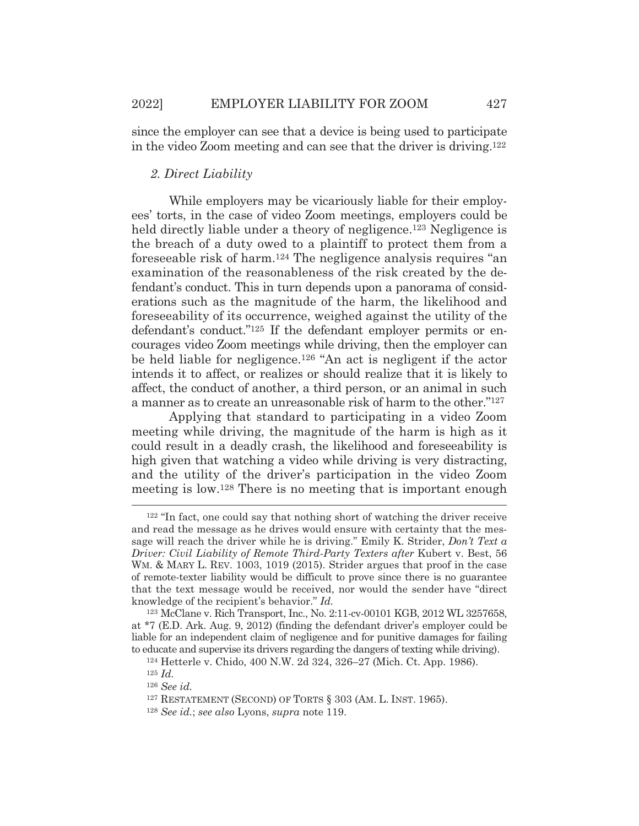since the employer can see that a device is being used to participate in the video Zoom meeting and can see that the driver is driving.122

## *2. Direct Liability*

While employers may be vicariously liable for their employees' torts, in the case of video Zoom meetings, employers could be held directly liable under a theory of negligence.<sup>123</sup> Negligence is the breach of a duty owed to a plaintiff to protect them from a foreseeable risk of harm.124 The negligence analysis requires "an examination of the reasonableness of the risk created by the defendant's conduct. This in turn depends upon a panorama of considerations such as the magnitude of the harm, the likelihood and foreseeability of its occurrence, weighed against the utility of the defendant's conduct."125 If the defendant employer permits or encourages video Zoom meetings while driving, then the employer can be held liable for negligence.126 "An act is negligent if the actor intends it to affect, or realizes or should realize that it is likely to affect, the conduct of another, a third person, or an animal in such a manner as to create an unreasonable risk of harm to the other."127

 Applying that standard to participating in a video Zoom meeting while driving, the magnitude of the harm is high as it could result in a deadly crash, the likelihood and foreseeability is high given that watching a video while driving is very distracting, and the utility of the driver's participation in the video Zoom meeting is low.128 There is no meeting that is important enough

<sup>122 &</sup>quot;In fact, one could say that nothing short of watching the driver receive and read the message as he drives would ensure with certainty that the message will reach the driver while he is driving." Emily K. Strider, *Don't Text a Driver: Civil Liability of Remote Third-Party Texters after* Kubert v. Best, 56 WM. & MARY L. REV. 1003, 1019 (2015). Strider argues that proof in the case of remote-texter liability would be difficult to prove since there is no guarantee that the text message would be received, nor would the sender have "direct knowledge of the recipient's behavior." *Id.*

<sup>123</sup> McClane v. Rich Transport, Inc*.*, No. 2:11-cv-00101 KGB, 2012 WL 3257658, at \*7 (E.D. Ark. Aug. 9, 2012) (finding the defendant driver's employer could be liable for an independent claim of negligence and for punitive damages for failing to educate and supervise its drivers regarding the dangers of texting while driving). 124 Hetterle v. Chido, 400 N.W. 2d 324, 326–27 (Mich. Ct. App. 1986).

<sup>125</sup> *Id.*

<sup>126</sup> *See id.* 

<sup>127</sup> RESTATEMENT (SECOND) OF TORTS § 303 (AM. L. INST. 1965).

<sup>128</sup> *See id.*; *see also* Lyons, *supra* note 119.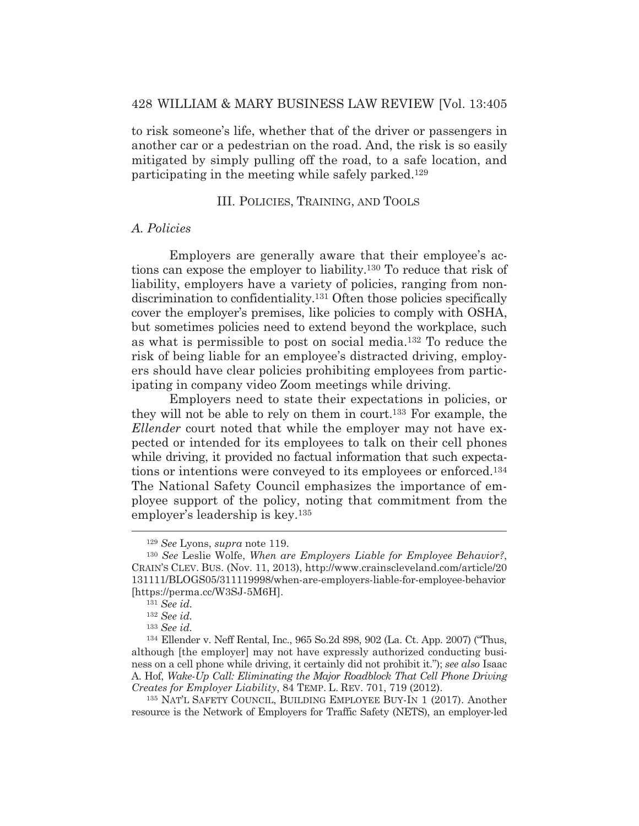to risk someone's life, whether that of the driver or passengers in another car or a pedestrian on the road. And, the risk is so easily mitigated by simply pulling off the road, to a safe location, and participating in the meeting while safely parked.129

#### III. POLICIES, TRAINING, AND TOOLS

## *A. Policies*

Employers are generally aware that their employee's actions can expose the employer to liability.130 To reduce that risk of liability, employers have a variety of policies, ranging from nondiscrimination to confidentiality.131 Often those policies specifically cover the employer's premises, like policies to comply with OSHA, but sometimes policies need to extend beyond the workplace, such as what is permissible to post on social media.132 To reduce the risk of being liable for an employee's distracted driving, employers should have clear policies prohibiting employees from participating in company video Zoom meetings while driving.

 Employers need to state their expectations in policies, or they will not be able to rely on them in court.133 For example, the *Ellender* court noted that while the employer may not have expected or intended for its employees to talk on their cell phones while driving, it provided no factual information that such expectations or intentions were conveyed to its employees or enforced.134 The National Safety Council emphasizes the importance of employee support of the policy, noting that commitment from the employer's leadership is key.135

<sup>129</sup> *See* Lyons, *supra* note 119.

<sup>130</sup> *See* Leslie Wolfe, *When are Employers Liable for Employee Behavior?*, CRAIN'S CLEV. BUS. (Nov. 11, 2013), http://www.crainscleveland.com/article/20 131111/BLOGS05/311119998/when-are-employers-liable-for-employee-behavior [https://perma.cc/W3SJ-5M6H].

<sup>131</sup> *See id.*

<sup>132</sup> *See id.*

<sup>133</sup> *See id.*

<sup>134</sup> Ellender v. Neff Rental, Inc., 965 So.2d 898, 902 (La. Ct. App. 2007) ("Thus, although [the employer] may not have expressly authorized conducting business on a cell phone while driving, it certainly did not prohibit it."); *see also* Isaac A. Hof, *Wake-Up Call: Eliminating the Major Roadblock That Cell Phone Driving Creates for Employer Liability*, 84 TEMP. L. REV. 701, 719 (2012).

<sup>135</sup> NAT'L SAFETY COUNCIL, BUILDING EMPLOYEE BUY-IN 1 (2017). Another resource is the Network of Employers for Traffic Safety (NETS), an employer-led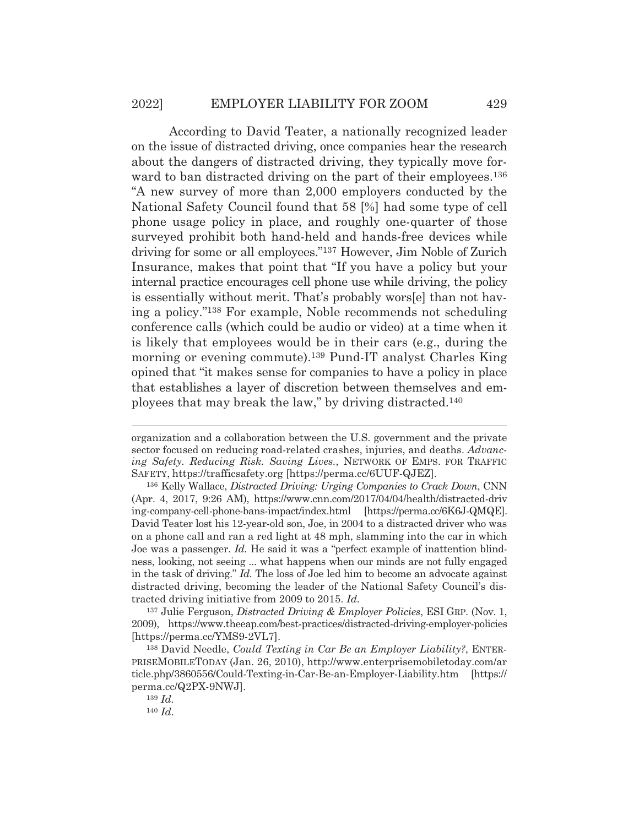According to David Teater, a nationally recognized leader on the issue of distracted driving, once companies hear the research about the dangers of distracted driving, they typically move forward to ban distracted driving on the part of their employees.<sup>136</sup> "A new survey of more than 2,000 employers conducted by the National Safety Council found that 58 [%] had some type of cell phone usage policy in place, and roughly one-quarter of those surveyed prohibit both hand-held and hands-free devices while driving for some or all employees."137 However, Jim Noble of Zurich Insurance, makes that point that "If you have a policy but your internal practice encourages cell phone use while driving, the policy is essentially without merit. That's probably wors[e] than not having a policy."138 For example, Noble recommends not scheduling conference calls (which could be audio or video) at a time when it is likely that employees would be in their cars (e.g., during the morning or evening commute).139 Pund-IT analyst Charles King opined that "it makes sense for companies to have a policy in place that establishes a layer of discretion between themselves and employees that may break the law," by driving distracted.140

organization and a collaboration between the U.S. government and the private sector focused on reducing road-related crashes, injuries, and deaths. *Advancing Safety. Reducing Risk. Saving Lives.*, NETWORK OF EMPS. FOR TRAFFIC SAFETY, https://trafficsafety.org [https://perma.cc/6UUF-QJEZ].

<sup>136</sup> Kelly Wallace, *Distracted Driving: Urging Companies to Crack Down*, CNN (Apr. 4, 2017, 9:26 AM), https://www.cnn.com/2017/04/04/health/distracted-driv ing-company-cell-phone-bans-impact/index.html [https://perma.cc/6K6J-QMQE]. David Teater lost his 12-year-old son, Joe, in 2004 to a distracted driver who was on a phone call and ran a red light at 48 mph, slamming into the car in which Joe was a passenger. *Id.* He said it was a "perfect example of inattention blindness, looking, not seeing ... what happens when our minds are not fully engaged in the task of driving." *Id.* The loss of Joe led him to become an advocate against distracted driving, becoming the leader of the National Safety Council's distracted driving initiative from 2009 to 2015. *Id.*

<sup>137</sup> Julie Ferguson, *Distracted Driving & Employer Policies*, ESI GRP. (Nov. 1, 2009), https://www.theeap.com/best-practices/distracted-driving-employer-policies [https://perma.cc/YMS9-2VL7].

<sup>138</sup> David Needle, *Could Texting in Car Be an Employer Liability?*, ENTER-PRISEMOBILETODAY (Jan. 26, 2010), http://www.enterprisemobiletoday.com/ar ticle.php/3860556/Could-Texting-in-Car-Be-an-Employer-Liability.htm [https:// perma.cc/Q2PX-9NWJ].

<sup>139</sup> *Id.*

<sup>140</sup> *Id*.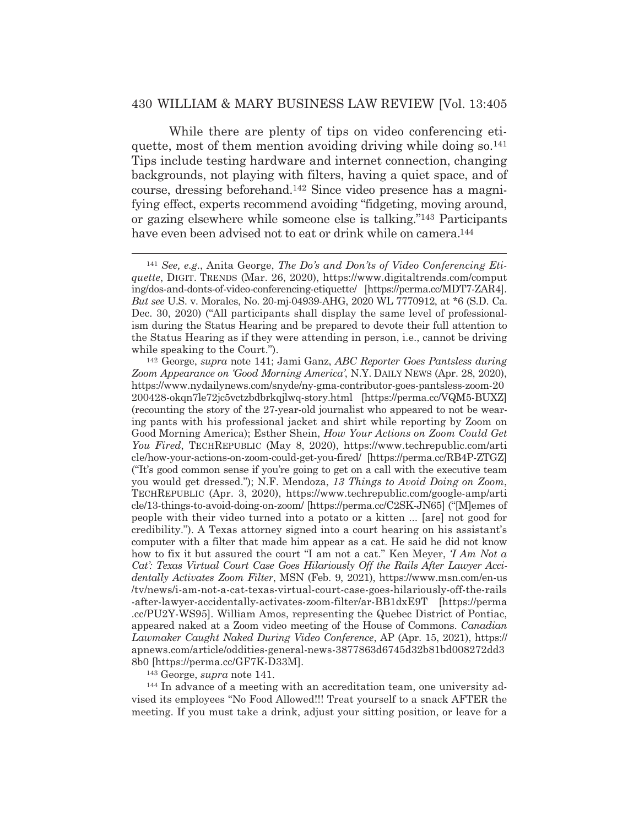While there are plenty of tips on video conferencing etiquette, most of them mention avoiding driving while doing so.<sup>141</sup> Tips include testing hardware and internet connection, changing backgrounds, not playing with filters, having a quiet space, and of course, dressing beforehand.142 Since video presence has a magnifying effect, experts recommend avoiding "fidgeting, moving around, or gazing elsewhere while someone else is talking."143 Participants have even been advised not to eat or drink while on camera.<sup>144</sup>

<sup>143</sup> George, *supra* note 141.<br><sup>144</sup> In advance of a meeting with an accreditation team, one university advised its employees "No Food Allowed!!! Treat yourself to a snack AFTER the meeting. If you must take a drink, adjust your sitting position, or leave for a

<sup>141</sup> *See, e.g.*, Anita George, *The Do's and Don'ts of Video Conferencing Etiquette*, DIGIT. TRENDS (Mar. 26, 2020), https://www.digitaltrends.com/comput ing/dos-and-donts-of-video-conferencing-etiquette/ [https://perma.cc/MDT7-ZAR4]. *But see* U.S. v. Morales, No. 20-mj-04939-AHG, 2020 WL 7770912, at \*6 (S.D. Ca. Dec. 30, 2020) ("All participants shall display the same level of professionalism during the Status Hearing and be prepared to devote their full attention to the Status Hearing as if they were attending in person, i.e., cannot be driving

while speaking to the Court.").<br><sup>142</sup> George, *supra* note 141; Jami Ganz, *ABC Reporter Goes Pantsless during Zoom Appearance on 'Good Morning America'*, N.Y. DAILY NEWS (Apr. 28, 2020), https://www.nydailynews.com/snyde/ny-gma-contributor-goes-pantsless-zoom-20 200428-okqn7le72jc5vctzbdbrkqjlwq-story.html [https://perma.cc/VQM5-BUXZ] (recounting the story of the 27-year-old journalist who appeared to not be wearing pants with his professional jacket and shirt while reporting by Zoom on Good Morning America); Esther Shein, *How Your Actions on Zoom Could Get You Fired*, TECHREPUBLIC (May 8, 2020), https://www.techrepublic.com/arti cle/how-your-actions-on-zoom-could-get-you-fired/ [https://perma.cc/RB4P-ZTGZ] ("It's good common sense if you're going to get on a call with the executive team you would get dressed."); N.F. Mendoza, *13 Things to Avoid Doing on Zoom*, TECHREPUBLIC (Apr. 3, 2020), https://www.techrepublic.com/google-amp/arti cle/13-things-to-avoid-doing-on-zoom/ [https://perma.cc/C2SK-JN65] ("[M]emes of people with their video turned into a potato or a kitten ... [are] not good for credibility."). A Texas attorney signed into a court hearing on his assistant's computer with a filter that made him appear as a cat. He said he did not know how to fix it but assured the court "I am not a cat." Ken Meyer, *'I Am Not a Cat': Texas Virtual Court Case Goes Hilariously Off the Rails After Lawyer Accidentally Activates Zoom Filter*, MSN (Feb. 9, 2021), https://www.msn.com/en-us /tv/news/i-am-not-a-cat-texas-virtual-court-case-goes-hilariously-off-the-rails -after-lawyer-accidentally-activates-zoom-filter/ar-BB1dxE9T [https://perma .cc/PU2Y-WS95]. William Amos, representing the Quebec District of Pontiac, appeared naked at a Zoom video meeting of the House of Commons. *Canadian Lawmaker Caught Naked During Video Conference*, AP (Apr. 15, 2021), https:// apnews.com/article/oddities-general-news-3877863d6745d32b81bd008272dd3 8b0 [https://perma.cc/GF7K-D33M].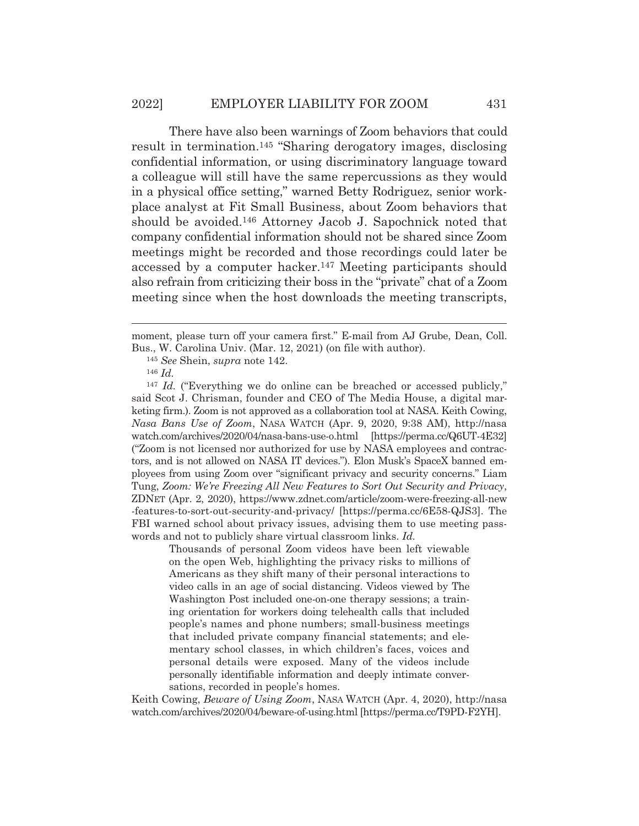#### 2022] EMPLOYER LIABILITY FOR ZOOM 431

 There have also been warnings of Zoom behaviors that could result in termination.145 "Sharing derogatory images, disclosing confidential information, or using discriminatory language toward a colleague will still have the same repercussions as they would in a physical office setting," warned Betty Rodriguez, senior workplace analyst at Fit Small Business, about Zoom behaviors that should be avoided.146 Attorney Jacob J. Sapochnick noted that company confidential information should not be shared since Zoom meetings might be recorded and those recordings could later be accessed by a computer hacker.147 Meeting participants should also refrain from criticizing their boss in the "private" chat of a Zoom meeting since when the host downloads the meeting transcripts,

Thousands of personal Zoom videos have been left viewable on the open Web, highlighting the privacy risks to millions of Americans as they shift many of their personal interactions to video calls in an age of social distancing. Videos viewed by The Washington Post included one-on-one therapy sessions; a training orientation for workers doing telehealth calls that included people's names and phone numbers; small-business meetings that included private company financial statements; and elementary school classes, in which children's faces, voices and personal details were exposed. Many of the videos include personally identifiable information and deeply intimate conversations, recorded in people's homes.

Keith Cowing, *Beware of Using Zoom*, NASA WATCH (Apr. 4, 2020), http://nasa watch.com/archives/2020/04/beware-of-using.html [https://perma.cc/T9PD-F2YH].

moment, please turn off your camera first." E-mail from AJ Grube, Dean, Coll. Bus., W. Carolina Univ. (Mar. 12, 2021) (on file with author).

<sup>145</sup> *See* Shein, *supra* note 142.

<sup>146</sup> *Id.*

<sup>&</sup>lt;sup>147</sup> *Id.* ("Everything we do online can be breached or accessed publicly," said Scot J. Chrisman, founder and CEO of The Media House, a digital marketing firm.). Zoom is not approved as a collaboration tool at NASA. Keith Cowing, *Nasa Bans Use of Zoom*, NASA WATCH (Apr. 9, 2020, 9:38 AM), http://nasa watch.com/archives/2020/04/nasa-bans-use-o.html [https://perma.cc/Q6UT-4E32] ("Zoom is not licensed nor authorized for use by NASA employees and contractors, and is not allowed on NASA IT devices."). Elon Musk's SpaceX banned employees from using Zoom over "significant privacy and security concerns." Liam Tung, *Zoom: We're Freezing All New Features to Sort Out Security and Privacy*, ZDNET (Apr. 2, 2020), https://www.zdnet.com/article/zoom-were-freezing-all-new -features-to-sort-out-security-and-privacy/ [https://perma.cc/6E58-QJS3]. The FBI warned school about privacy issues, advising them to use meeting passwords and not to publicly share virtual classroom links. *Id.*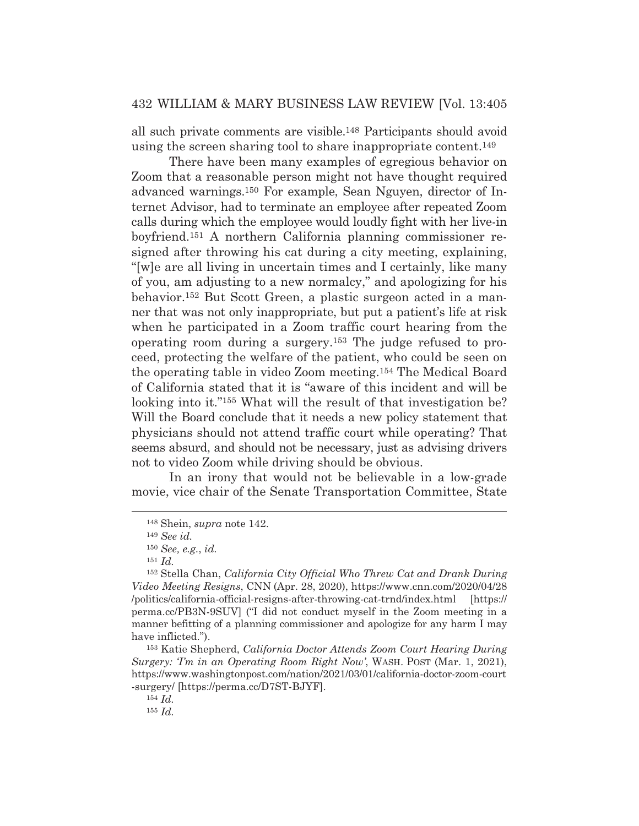all such private comments are visible.148 Participants should avoid using the screen sharing tool to share inappropriate content.149

 There have been many examples of egregious behavior on Zoom that a reasonable person might not have thought required advanced warnings.150 For example, Sean Nguyen, director of Internet Advisor, had to terminate an employee after repeated Zoom calls during which the employee would loudly fight with her live-in boyfriend.151 A northern California planning commissioner resigned after throwing his cat during a city meeting, explaining, "[w]e are all living in uncertain times and I certainly, like many of you, am adjusting to a new normalcy," and apologizing for his behavior.152 But Scott Green, a plastic surgeon acted in a manner that was not only inappropriate, but put a patient's life at risk when he participated in a Zoom traffic court hearing from the operating room during a surgery.153 The judge refused to proceed, protecting the welfare of the patient, who could be seen on the operating table in video Zoom meeting.154 The Medical Board of California stated that it is "aware of this incident and will be looking into it."<sup>155</sup> What will the result of that investigation be? Will the Board conclude that it needs a new policy statement that physicians should not attend traffic court while operating? That seems absurd, and should not be necessary, just as advising drivers not to video Zoom while driving should be obvious.

 In an irony that would not be believable in a low-grade movie, vice chair of the Senate Transportation Committee, State

<sup>148</sup> Shein, *supra* note 142.

<sup>149</sup> *See id.* 

<sup>150</sup> *See, e.g.*, *id.*

<sup>151</sup> *Id.*

<sup>152</sup> Stella Chan, *California City Official Who Threw Cat and Drank During Video Meeting Resigns*, CNN (Apr. 28, 2020), https://www.cnn.com/2020/04/28 /politics/california-official-resigns-after-throwing-cat-trnd/index.html [https:// perma.cc/PB3N-9SUV] ("I did not conduct myself in the Zoom meeting in a manner befitting of a planning commissioner and apologize for any harm I may have inflicted.").

<sup>153</sup> Katie Shepherd, *California Doctor Attends Zoom Court Hearing During Surgery: 'I'm in an Operating Room Right Now'*, WASH. POST (Mar. 1, 2021), https://www.washingtonpost.com/nation/2021/03/01/california-doctor-zoom-court -surgery/ [https://perma.cc/D7ST-BJYF].

<sup>154</sup> *Id.*

<sup>155</sup> *Id.*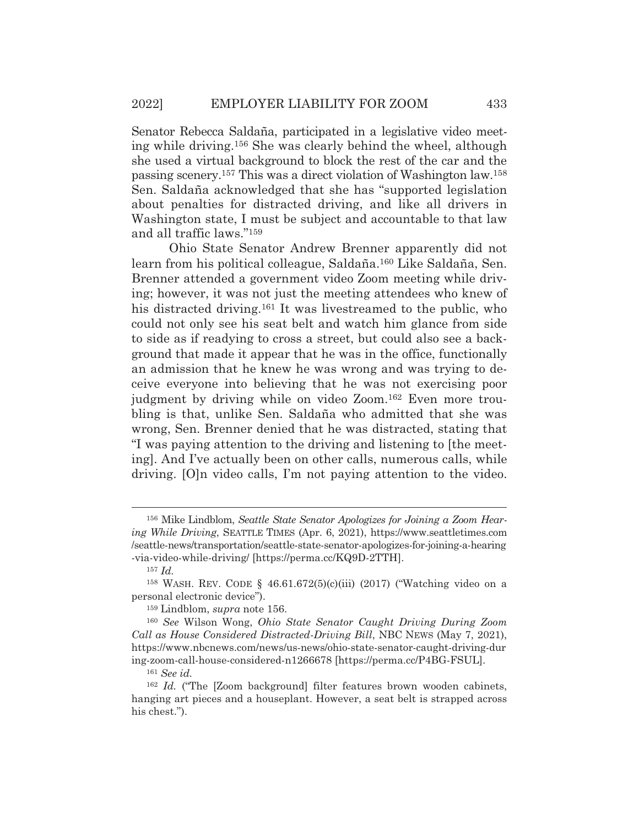Senator Rebecca Saldaña, participated in a legislative video meeting while driving.156 She was clearly behind the wheel, although she used a virtual background to block the rest of the car and the passing scenery.157 This was a direct violation of Washington law.158 Sen. Saldaña acknowledged that she has "supported legislation about penalties for distracted driving, and like all drivers in Washington state, I must be subject and accountable to that law and all traffic laws."159

 Ohio State Senator Andrew Brenner apparently did not learn from his political colleague, Saldaña.160 Like Saldaña, Sen. Brenner attended a government video Zoom meeting while driving; however, it was not just the meeting attendees who knew of his distracted driving.<sup>161</sup> It was livestreamed to the public, who could not only see his seat belt and watch him glance from side to side as if readying to cross a street, but could also see a background that made it appear that he was in the office, functionally an admission that he knew he was wrong and was trying to deceive everyone into believing that he was not exercising poor judgment by driving while on video Zoom.162 Even more troubling is that, unlike Sen. Saldaña who admitted that she was wrong, Sen. Brenner denied that he was distracted, stating that "I was paying attention to the driving and listening to [the meeting]. And I've actually been on other calls, numerous calls, while driving. [O]n video calls, I'm not paying attention to the video.

<sup>156</sup> Mike Lindblom, *Seattle State Senator Apologizes for Joining a Zoom Hearing While Driving*, SEATTLE TIMES (Apr. 6, 2021), https://www.seattletimes.com /seattle-news/transportation/seattle-state-senator-apologizes-for-joining-a-hearing -via-video-while-driving/ [https://perma.cc/KQ9D-2TTH].

<sup>157</sup> *Id.*

<sup>158</sup> WASH. REV. CODE § 46.61.672(5)(c)(iii) (2017) ("Watching video on a personal electronic device").

<sup>159</sup> Lindblom, *supra* note 156.

<sup>160</sup> *See* Wilson Wong, *Ohio State Senator Caught Driving During Zoom Call as House Considered Distracted-Driving Bill*, NBC NEWS (May 7, 2021), https://www.nbcnews.com/news/us-news/ohio-state-senator-caught-driving-dur ing-zoom-call-house-considered-n1266678 [https://perma.cc/P4BG-FSUL].

<sup>161</sup> *See id.*

<sup>&</sup>lt;sup>162</sup> *Id.* ("The [Zoom background] filter features brown wooden cabinets, hanging art pieces and a houseplant. However, a seat belt is strapped across his chest.").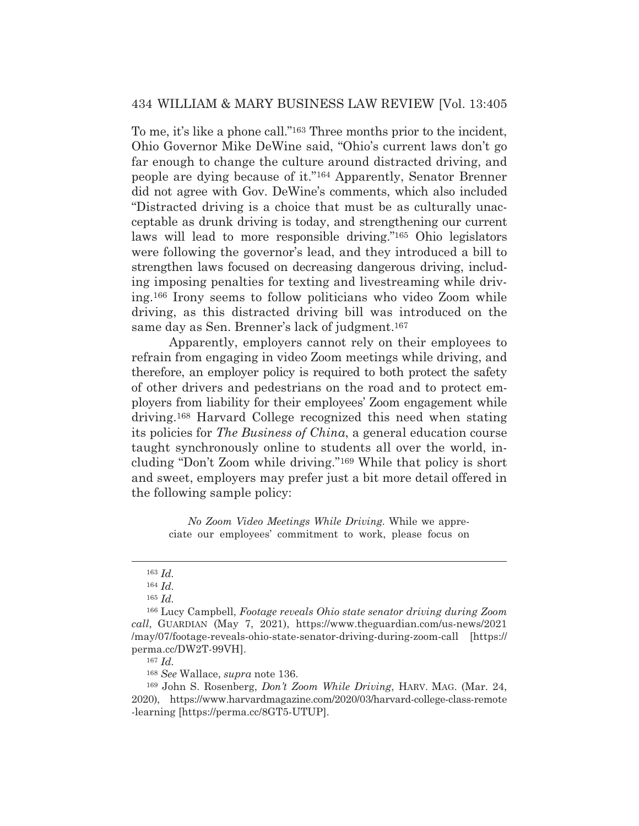To me, it's like a phone call."163 Three months prior to the incident, Ohio Governor Mike DeWine said, "Ohio's current laws don't go far enough to change the culture around distracted driving, and people are dying because of it."164 Apparently, Senator Brenner did not agree with Gov. DeWine's comments, which also included "Distracted driving is a choice that must be as culturally unacceptable as drunk driving is today, and strengthening our current laws will lead to more responsible driving."165 Ohio legislators were following the governor's lead, and they introduced a bill to strengthen laws focused on decreasing dangerous driving, including imposing penalties for texting and livestreaming while driving.166 Irony seems to follow politicians who video Zoom while driving, as this distracted driving bill was introduced on the same day as Sen. Brenner's lack of judgment.167

 Apparently, employers cannot rely on their employees to refrain from engaging in video Zoom meetings while driving, and therefore, an employer policy is required to both protect the safety of other drivers and pedestrians on the road and to protect employers from liability for their employees' Zoom engagement while driving.168 Harvard College recognized this need when stating its policies for *The Business of China*, a general education course taught synchronously online to students all over the world, including "Don't Zoom while driving."169 While that policy is short and sweet, employers may prefer just a bit more detail offered in the following sample policy:

> *No Zoom Video Meetings While Driving.* While we appreciate our employees' commitment to work, please focus on

<sup>167</sup> *Id.*

<sup>168</sup> *See* Wallace, *supra* note 136.

<sup>163</sup> *Id.*

<sup>164</sup> *Id.*

<sup>165</sup> *Id.*

<sup>166</sup> Lucy Campbell, *Footage reveals Ohio state senator driving during Zoom call*, GUARDIAN (May 7, 2021), https://www.theguardian.com/us-news/2021 /may/07/footage-reveals-ohio-state-senator-driving-during-zoom-call [https:// perma.cc/DW2T-99VH].

<sup>169</sup> John S. Rosenberg, *Don't Zoom While Driving*, HARV. MAG. (Mar. 24, 2020), https://www.harvardmagazine.com/2020/03/harvard-college-class-remote -learning [https://perma.cc/8GT5-UTUP].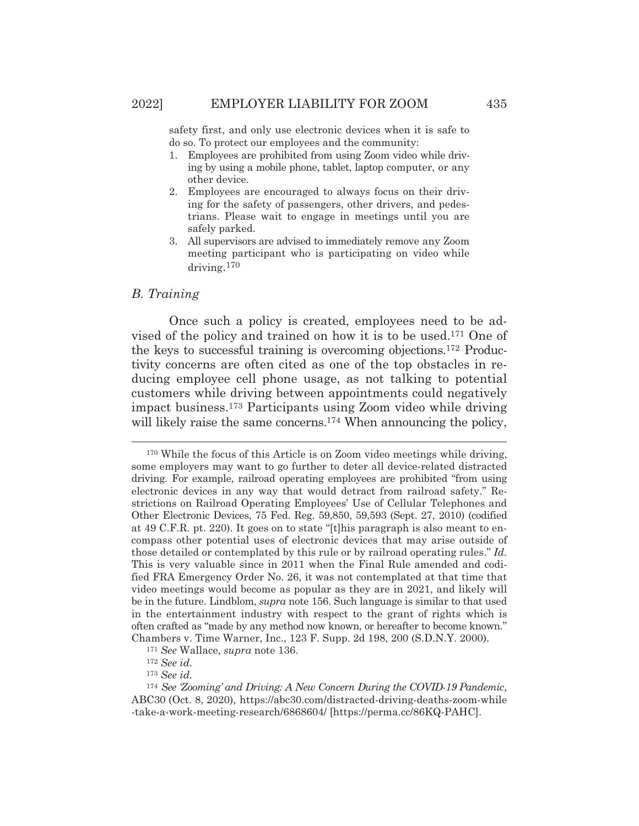safety first, and only use electronic devices when it is safe to do so. To protect our employees and the community:

- 1. Employees are prohibited from using Zoom video while driving by using a mobile phone, tablet, laptop computer, or any other device.
- 2. Employees are encouraged to always focus on their driving for the safety of passengers, other drivers, and pedestrians. Please wait to engage in meetings until you are safely parked.
- 3. All supervisors are advised to immediately remove any Zoom meeting participant who is participating on video while driving.170

### *B. Training*

Once such a policy is created, employees need to be advised of the policy and trained on how it is to be used.171 One of the keys to successful training is overcoming objections.172 Productivity concerns are often cited as one of the top obstacles in reducing employee cell phone usage, as not talking to potential customers while driving between appointments could negatively impact business.173 Participants using Zoom video while driving will likely raise the same concerns.<sup>174</sup> When announcing the policy,

<sup>170</sup> While the focus of this Article is on Zoom video meetings while driving, some employers may want to go further to deter all device-related distracted driving. For example, railroad operating employees are prohibited "from using electronic devices in any way that would detract from railroad safety." Restrictions on Railroad Operating Employees' Use of Cellular Telephones and Other Electronic Devices, 75 Fed. Reg. 59,850, 59,593 (Sept. 27, 2010) (codified at 49 C.F.R. pt. 220). It goes on to state "[t]his paragraph is also meant to encompass other potential uses of electronic devices that may arise outside of those detailed or contemplated by this rule or by railroad operating rules." *Id.* This is very valuable since in 2011 when the Final Rule amended and codified FRA Emergency Order No. 26, it was not contemplated at that time that video meetings would become as popular as they are in 2021, and likely will be in the future. Lindblom, *supra* note 156. Such language is similar to that used in the entertainment industry with respect to the grant of rights which is often crafted as "made by any method now known, or hereafter to become known." Chambers v. Time Warner, Inc., 123 F. Supp. 2d 198, 200 (S.D.N.Y. 2000).

<sup>171</sup> *See* Wallace, *supra* note 136.

<sup>172</sup> *See id.*

<sup>173</sup> *See id.*

<sup>174</sup> *See 'Zooming' and Driving: A New Concern During the COVID-19 Pandemic*, ABC30 (Oct. 8, 2020), https://abc30.com/distracted-driving-deaths-zoom-while -take-a-work-meeting-research/6868604/ [https://perma.cc/86KQ-PAHC].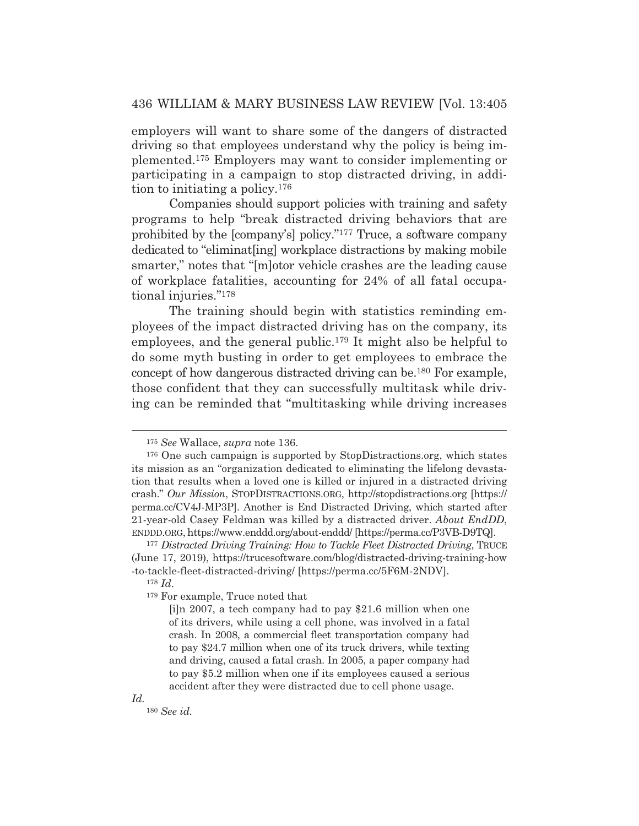employers will want to share some of the dangers of distracted driving so that employees understand why the policy is being implemented.175 Employers may want to consider implementing or participating in a campaign to stop distracted driving, in addition to initiating a policy.176

 Companies should support policies with training and safety programs to help "break distracted driving behaviors that are prohibited by the [company's] policy."177 Truce, a software company dedicated to "eliminat[ing] workplace distractions by making mobile smarter," notes that "[m]otor vehicle crashes are the leading cause of workplace fatalities, accounting for 24% of all fatal occupational injuries."178

 The training should begin with statistics reminding employees of the impact distracted driving has on the company, its employees, and the general public.179 It might also be helpful to do some myth busting in order to get employees to embrace the concept of how dangerous distracted driving can be.180 For example, those confident that they can successfully multitask while driving can be reminded that "multitasking while driving increases

<sup>175</sup> *See* Wallace, *supra* note 136.

<sup>176</sup> One such campaign is supported by StopDistractions.org, which states its mission as an "organization dedicated to eliminating the lifelong devastation that results when a loved one is killed or injured in a distracted driving crash." *Our Mission*, STOPDISTRACTIONS.ORG, http://stopdistractions.org [https:// perma.cc/CV4J-MP3P]. Another is End Distracted Driving, which started after 21-year-old Casey Feldman was killed by a distracted driver. *About EndDD*, ENDDD.ORG, https://www.enddd.org/about-enddd/ [https://perma.cc/P3VB-D9TQ].

<sup>177</sup> *Distracted Driving Training: How to Tackle Fleet Distracted Driving*, TRUCE (June 17, 2019), https://trucesoftware.com/blog/distracted-driving-training-how -to-tackle-fleet-distracted-driving/ [https://perma.cc/5F6M-2NDV].

<sup>178</sup> *Id*.

<sup>179</sup> For example, Truce noted that

<sup>[</sup>i]n 2007, a tech company had to pay \$21.6 million when one of its drivers, while using a cell phone, was involved in a fatal crash. In 2008, a commercial fleet transportation company had to pay \$24.7 million when one of its truck drivers, while texting and driving, caused a fatal crash. In 2005, a paper company had to pay \$5.2 million when one if its employees caused a serious accident after they were distracted due to cell phone usage.

<sup>180</sup> *See id.*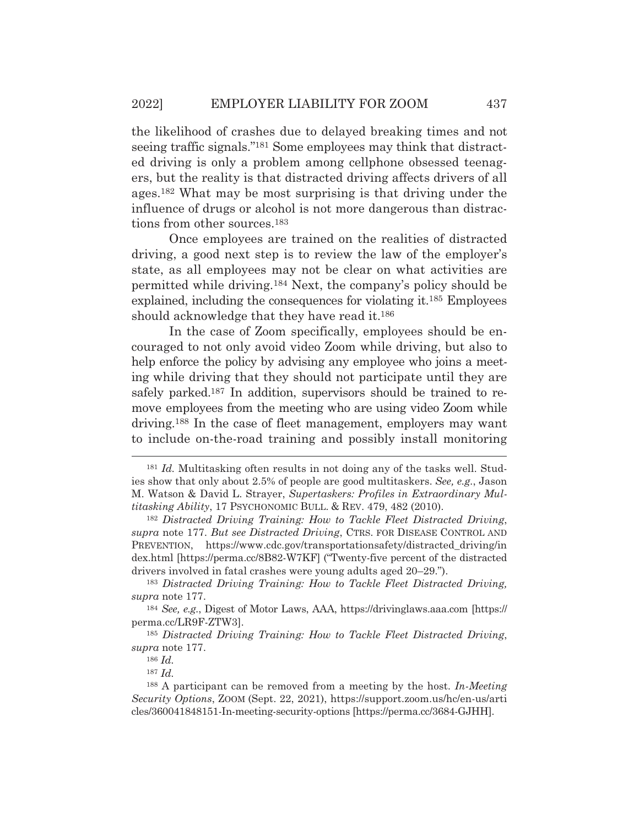the likelihood of crashes due to delayed breaking times and not seeing traffic signals."181 Some employees may think that distracted driving is only a problem among cellphone obsessed teenagers, but the reality is that distracted driving affects drivers of all ages.182 What may be most surprising is that driving under the influence of drugs or alcohol is not more dangerous than distractions from other sources.183

 Once employees are trained on the realities of distracted driving, a good next step is to review the law of the employer's state, as all employees may not be clear on what activities are permitted while driving.184 Next, the company's policy should be explained, including the consequences for violating it.185 Employees should acknowledge that they have read it.186

 In the case of Zoom specifically, employees should be encouraged to not only avoid video Zoom while driving, but also to help enforce the policy by advising any employee who joins a meeting while driving that they should not participate until they are safely parked.<sup>187</sup> In addition, supervisors should be trained to remove employees from the meeting who are using video Zoom while driving.188 In the case of fleet management, employers may want to include on-the-road training and possibly install monitoring

<sup>181</sup> *Id.* Multitasking often results in not doing any of the tasks well. Studies show that only about 2.5% of people are good multitaskers. *See, e.g.*, Jason M. Watson & David L. Strayer, *Supertaskers: Profiles in Extraordinary Multitasking Ability*, 17 PSYCHONOMIC BULL.&REV. 479, 482 (2010).

<sup>182</sup> *Distracted Driving Training: How to Tackle Fleet Distracted Driving*, *supra* note 177. *But see Distracted Driving*, CTRS. FOR DISEASE CONTROL AND PREVENTION, https://www.cdc.gov/transportationsafety/distracted\_driving/in dex.html [https://perma.cc/8B82-W7KF] ("Twenty-five percent of the distracted drivers involved in fatal crashes were young adults aged 20–29.").

<sup>183</sup> *Distracted Driving Training: How to Tackle Fleet Distracted Driving, supra* note 177.

<sup>184</sup> *See, e.g.*, Digest of Motor Laws, AAA, https://drivinglaws.aaa.com [https:// perma.cc/LR9F-ZTW3].

<sup>185</sup> *Distracted Driving Training: How to Tackle Fleet Distracted Driving*, *supra* note 177.

<sup>186</sup> *Id.*

<sup>187</sup> *Id.*

<sup>188</sup> A participant can be removed from a meeting by the host. *In-Meeting Security Options*, ZOOM (Sept. 22, 2021), https://support.zoom.us/hc/en-us/arti cles/360041848151-In-meeting-security-options [https://perma.cc/3684-GJHH].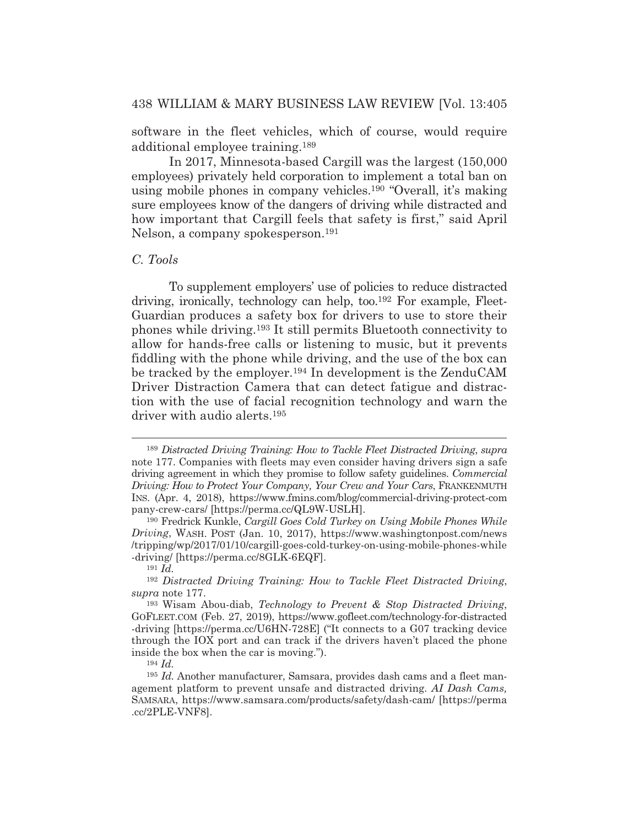software in the fleet vehicles, which of course, would require additional employee training.189

 In 2017, Minnesota-based Cargill was the largest (150,000 employees) privately held corporation to implement a total ban on using mobile phones in company vehicles.190 "Overall, it's making sure employees know of the dangers of driving while distracted and how important that Cargill feels that safety is first," said April Nelson, a company spokesperson.191

## *C. Tools*

To supplement employers' use of policies to reduce distracted driving, ironically, technology can help, too.192 For example, Fleet-Guardian produces a safety box for drivers to use to store their phones while driving.193 It still permits Bluetooth connectivity to allow for hands-free calls or listening to music, but it prevents fiddling with the phone while driving, and the use of the box can be tracked by the employer.194 In development is the ZenduCAM Driver Distraction Camera that can detect fatigue and distraction with the use of facial recognition technology and warn the driver with audio alerts.195

<sup>189</sup> *Distracted Driving Training: How to Tackle Fleet Distracted Driving*, *supra* note 177. Companies with fleets may even consider having drivers sign a safe driving agreement in which they promise to follow safety guidelines. *Commercial Driving: How to Protect Your Company, Your Crew and Your Cars*, FRANKENMUTH INS. (Apr. 4, 2018), https://www.fmins.com/blog/commercial-driving-protect-com pany-crew-cars/ [https://perma.cc/QL9W-USLH].

<sup>190</sup> Fredrick Kunkle, *Cargill Goes Cold Turkey on Using Mobile Phones While Driving*, WASH. POST (Jan. 10, 2017), https://www.washingtonpost.com/news /tripping/wp/2017/01/10/cargill-goes-cold-turkey-on-using-mobile-phones-while -driving/ [https://perma.cc/8GLK-6EQF].

<sup>191</sup> *Id.*

<sup>192</sup> *Distracted Driving Training: How to Tackle Fleet Distracted Driving*, *supra* note 177.

<sup>193</sup> Wisam Abou-diab, *Technology to Prevent & Stop Distracted Driving*, GOFLEET.COM (Feb. 27, 2019), https://www.gofleet.com/technology-for-distracted -driving [https://perma.cc/U6HN-728E] ("It connects to a G07 tracking device through the IOX port and can track if the drivers haven't placed the phone inside the box when the car is moving.").

<sup>194</sup> *Id.*

<sup>195</sup> *Id.* Another manufacturer, Samsara, provides dash cams and a fleet management platform to prevent unsafe and distracted driving. *AI Dash Cams,*  SAMSARA, https://www.samsara.com/products/safety/dash-cam/ [https://perma .cc/2PLE-VNF8].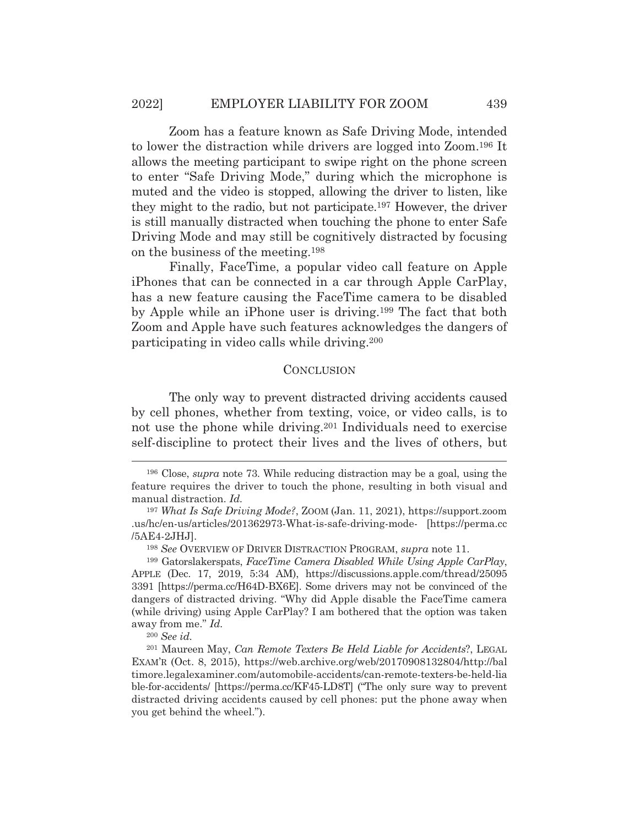Zoom has a feature known as Safe Driving Mode, intended to lower the distraction while drivers are logged into Zoom.196 It allows the meeting participant to swipe right on the phone screen to enter "Safe Driving Mode," during which the microphone is muted and the video is stopped, allowing the driver to listen, like they might to the radio, but not participate.197 However, the driver is still manually distracted when touching the phone to enter Safe Driving Mode and may still be cognitively distracted by focusing on the business of the meeting.198

 Finally, FaceTime, a popular video call feature on Apple iPhones that can be connected in a car through Apple CarPlay, has a new feature causing the FaceTime camera to be disabled by Apple while an iPhone user is driving.199 The fact that both Zoom and Apple have such features acknowledges the dangers of participating in video calls while driving.200

## **CONCLUSION**

The only way to prevent distracted driving accidents caused by cell phones, whether from texting, voice, or video calls, is to not use the phone while driving.<sup>201</sup> Individuals need to exercise self-discipline to protect their lives and the lives of others, but

<sup>196</sup> Close, *supra* note 73. While reducing distraction may be a goal, using the feature requires the driver to touch the phone, resulting in both visual and manual distraction. *Id.*

<sup>197</sup> *What Is Safe Driving Mode?*, ZOOM (Jan. 11, 2021), https://support.zoom .us/hc/en-us/articles/201362973-What-is-safe-driving-mode- [https://perma.cc /5AE4-2JHJ].

<sup>198</sup> *See* OVERVIEW OF DRIVER DISTRACTION PROGRAM, *supra* note 11.

<sup>199</sup> Gatorslakerspats, *FaceTime Camera Disabled While Using Apple CarPlay*, APPLE (Dec. 17, 2019, 5:34 AM), https://discussions.apple.com/thread/25095 3391 [https://perma.cc/H64D-BX6E]. Some drivers may not be convinced of the dangers of distracted driving. "Why did Apple disable the FaceTime camera (while driving) using Apple CarPlay? I am bothered that the option was taken away from me." *Id.*

<sup>200</sup> *See id.*

<sup>201</sup> Maureen May, *Can Remote Texters Be Held Liable for Accidents*?, LEGAL EXAM'R (Oct. 8, 2015), https://web.archive.org/web/20170908132804/http://bal timore.legalexaminer.com/automobile-accidents/can-remote-texters-be-held-lia ble-for-accidents/ [https://perma.cc/KF45-LD8T] ("The only sure way to prevent distracted driving accidents caused by cell phones: put the phone away when you get behind the wheel.").